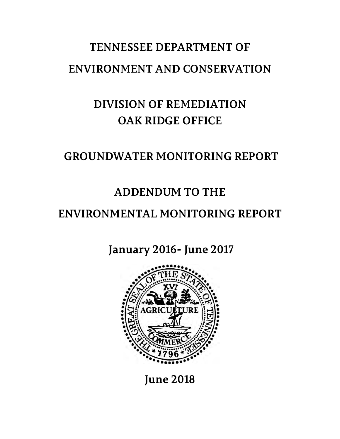# **TENNESSEE DEPARTMENT OF ENVIRONMENT AND CONSERVATION**

# **DIVISION OF REMEDIATION OAK RIDGE OFFICE**

## **GROUNDWATER MONITORING REPORT**

## **ADDENDUM TO THE**

## **ENVIRONMENTAL MONITORING REPORT**

 **January 2016- June 2017**



**June 2018**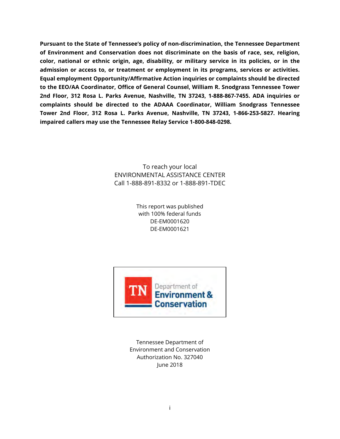**Pursuant to the State of Tennessee's policy of non-discrimination, the Tennessee Department of Environment and Conservation does not discriminate on the basis of race, sex, religion, color, national or ethnic origin, age, disability, or military service in its policies, or in the admission or access to, or treatment or employment in its programs, services or activities. Equal employment Opportunity/Affirmative Action inquiries or complaints should be directed to the EEO/AA Coordinator, Office of General Counsel, William R. Snodgrass Tennessee Tower 2nd Floor, 312 Rosa L. Parks Avenue, Nashville, TN 37243, 1-888-867-7455. ADA inquiries or complaints should be directed to the ADAAA Coordinator, William Snodgrass Tennessee Tower 2nd Floor, 312 Rosa L. Parks Avenue, Nashville, TN 37243, 1-866-253-5827. Hearing impaired callers may use the Tennessee Relay Service 1-800-848-0298.**

> To reach your local ENVIRONMENTAL ASSISTANCE CENTER Call 1-888-891-8332 or 1-888-891-TDEC

> > This report was published with 100% federal funds DE-EM0001620 DE-EM0001621



Tennessee Department of Environment and Conservation Authorization No. 327040 June 2018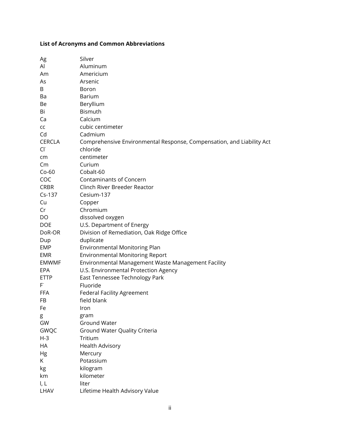### **List of Acronyms and Common Abbreviations**

| Ag            | Silver                                                                |
|---------------|-----------------------------------------------------------------------|
| Al            | Aluminum                                                              |
| Am            | Americium                                                             |
| As            | Arsenic                                                               |
| В             | Boron                                                                 |
| Ba            | Barium                                                                |
| Be            | Beryllium                                                             |
| Bi            | <b>Bismuth</b>                                                        |
| Ca            | Calcium                                                               |
| CC            | cubic centimeter                                                      |
| Cd            | Cadmium                                                               |
| <b>CERCLA</b> | Comprehensive Environmental Response, Compensation, and Liability Act |
| $CI^-$        | chloride                                                              |
| cm            | centimeter                                                            |
| $\mathsf{Cm}$ | Curium                                                                |
| $Co-60$       | Cobalt-60                                                             |
| COC           | <b>Contaminants of Concern</b>                                        |
| <b>CRBR</b>   | Clinch River Breeder Reactor                                          |
| $Cs-137$      | Cesium-137                                                            |
| Cu            | Copper                                                                |
| Cr            | Chromium                                                              |
| DO            | dissolved oxygen                                                      |
| <b>DOE</b>    | U.S. Department of Energy                                             |
| DoR-OR        | Division of Remediation, Oak Ridge Office                             |
| Dup           | duplicate                                                             |
| EMP           | Environmental Monitoring Plan                                         |
| EMR           | <b>Environmental Monitoring Report</b>                                |
| <b>EMWMF</b>  | Environmental Management Waste Management Facility                    |
| <b>EPA</b>    | U.S. Environmental Protection Agency                                  |
| <b>ETTP</b>   | East Tennessee Technology Park                                        |
| $F^{\dagger}$ | Fluoride                                                              |
| <b>FFA</b>    | <b>Federal Facility Agreement</b>                                     |
| FB            | field blank                                                           |
| Fe            | Iron                                                                  |
| g             | gram                                                                  |
| GW            | <b>Ground Water</b>                                                   |
| <b>GWQC</b>   | Ground Water Quality Criteria                                         |
| $H-3$         | Tritium                                                               |
| HA            | <b>Health Advisory</b>                                                |
| Hg            | Mercury                                                               |
| K.            | Potassium                                                             |
| kg            | kilogram                                                              |
| km            | kilometer                                                             |
| I, L          | liter                                                                 |
| LHAV          | Lifetime Health Advisory Value                                        |
|               |                                                                       |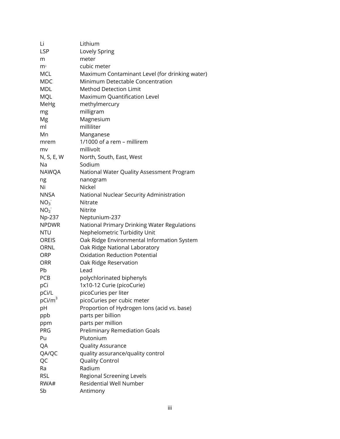| Li              | Lithium                                        |
|-----------------|------------------------------------------------|
| <b>LSP</b>      | Lovely Spring                                  |
| m               | meter                                          |
| m <sup>3</sup>  | cubic meter                                    |
| MCL             | Maximum Contaminant Level (for drinking water) |
| <b>MDC</b>      | Minimum Detectable Concentration               |
| MDL             | <b>Method Detection Limit</b>                  |
| MQL             | Maximum Quantification Level                   |
| MeHg            | methylmercury                                  |
| mg              | milligram                                      |
| Mg              | Magnesium                                      |
| ml              | milliliter                                     |
| Mn              | Manganese                                      |
| mrem            | 1/1000 of a rem - millirem                     |
| mv              | millivolt                                      |
| N, S, E, W      | North, South, East, West                       |
| Na              | Sodium                                         |
| <b>NAWQA</b>    | National Water Quality Assessment Program      |
| ng              | nanogram                                       |
| Ni              | Nickel                                         |
| <b>NNSA</b>     | National Nuclear Security Administration       |
| NO <sub>3</sub> | Nitrate                                        |
| NO <sub>2</sub> | Nitrite                                        |
| Np-237          | Neptunium-237                                  |
| <b>NPDWR</b>    | National Primary Drinking Water Regulations    |
| <b>NTU</b>      | Nephelometric Turbidity Unit                   |
| OREIS           | Oak Ridge Environmental Information System     |
| ORNL            | Oak Ridge National Laboratory                  |
| ORP             | <b>Oxidation Reduction Potential</b>           |
| <b>ORR</b>      | Oak Ridge Reservation                          |
| Pb              | Lead                                           |
| <b>PCB</b>      | polychlorinated biphenyls                      |
| pCi             | 1x10-12 Curie (picoCurie)                      |
| pCi/L           | picoCuries per liter                           |
| $pCi/m^3$       | picoCuries per cubic meter                     |
| рH              | Proportion of Hydrogen Ions (acid vs. base)    |
| ppb             | parts per billion                              |
| ppm             | parts per million                              |
| <b>PRG</b>      | <b>Preliminary Remediation Goals</b>           |
| Pu              | Plutonium                                      |
| QA              | Quality Assurance                              |
| QA/QC           | quality assurance/quality control              |
| QC              | <b>Quality Control</b>                         |
| Ra              | Radium                                         |
| <b>RSL</b>      | Regional Screening Levels                      |
| RWA#            | <b>Residential Well Number</b>                 |
| Sb              | Antimony                                       |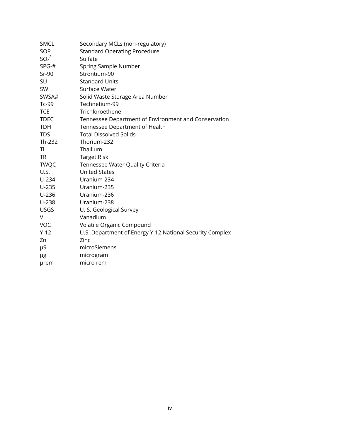| <b>SMCL</b> | Secondary MCLs (non-regulatory)                          |
|-------------|----------------------------------------------------------|
| SOP         | <b>Standard Operating Procedure</b>                      |
| $SO_4^2$    | Sulfate                                                  |
| $SPG-#$     | Spring Sample Number                                     |
| $Sr-90$     | Strontium-90                                             |
| SU          | <b>Standard Units</b>                                    |
| SW          | Surface Water                                            |
| SWSA#       | Solid Waste Storage Area Number                          |
| $Tc-99$     | Technetium-99                                            |
| <b>TCE</b>  | Trichloroethene                                          |
| <b>TDEC</b> | Tennessee Department of Environment and Conservation     |
| <b>TDH</b>  | Tennessee Department of Health                           |
| <b>TDS</b>  | <b>Total Dissolved Solids</b>                            |
| Th-232      | Thorium-232                                              |
| TI          | Thallium                                                 |
| <b>TR</b>   | <b>Target Risk</b>                                       |
| <b>TWQC</b> | Tennessee Water Quality Criteria                         |
| U.S.        | <b>United States</b>                                     |
| U-234       | Uranium-234                                              |
| $U-235$     | Uranium-235                                              |
| $U-236$     | Uranium-236                                              |
| U-238       | Uranium-238                                              |
| <b>USGS</b> | U. S. Geological Survey                                  |
| V           | Vanadium                                                 |
| <b>VOC</b>  | Volatile Organic Compound                                |
| $Y-12$      | U.S. Department of Energy Y-12 National Security Complex |
| Zn          | Zinc                                                     |
| μS          | microSiemens                                             |
| μg          | microgram                                                |
| µrem        | micro rem                                                |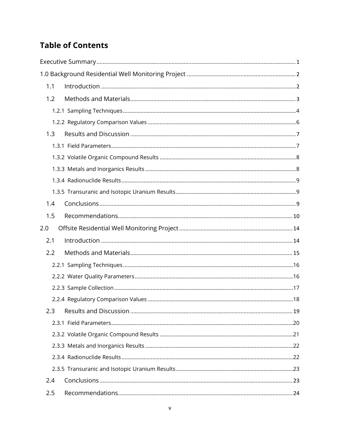## **Table of Contents**

| 1.1 |  |
|-----|--|
| 1.2 |  |
|     |  |
|     |  |
| 1.3 |  |
|     |  |
|     |  |
|     |  |
|     |  |
|     |  |
| 1.4 |  |
| 1.5 |  |
| 2.0 |  |
| 2.1 |  |
| 2.2 |  |
|     |  |
|     |  |
|     |  |
|     |  |
| 2.3 |  |
|     |  |
|     |  |
|     |  |
|     |  |
|     |  |
| 2.4 |  |
| 2.5 |  |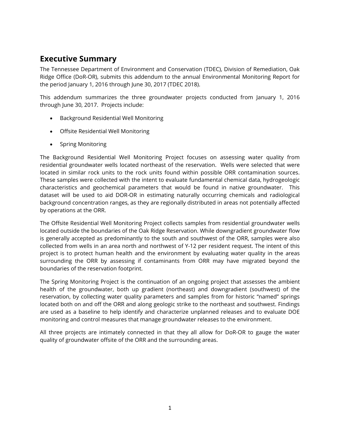## <span id="page-7-0"></span>**Executive Summary**

The Tennessee Department of Environment and Conservation (TDEC), Division of Remediation, Oak Ridge Office (DoR-OR), submits this addendum to the annual Environmental Monitoring Report for the period January 1, 2016 through June 30, 2017 (TDEC 2018).

This addendum summarizes the three groundwater projects conducted from January 1, 2016 through June 30, 2017. Projects include:

- Background Residential Well Monitoring
- Offsite Residential Well Monitoring
- Spring Monitoring

The Background Residential Well Monitoring Project focuses on assessing water quality from residential groundwater wells located northeast of the reservation. Wells were selected that were located in similar rock units to the rock units found within possible ORR contamination sources. These samples were collected with the intent to evaluate fundamental chemical data, hydrogeologic characteristics and geochemical parameters that would be found in native groundwater. This dataset will be used to aid DOR-OR in estimating naturally occurring chemicals and radiological background concentration ranges, as they are regionally distributed in areas not potentially affected by operations at the ORR.

The Offsite Residential Well Monitoring Project collects samples from residential groundwater wells located outside the boundaries of the Oak Ridge Reservation. While downgradient groundwater flow is generally accepted as predominantly to the south and southwest of the ORR, samples were also collected from wells in an area north and northwest of Y-12 per resident request. The intent of this project is to protect human health and the environment by evaluating water quality in the areas surrounding the ORR by assessing if contaminants from ORR may have migrated beyond the boundaries of the reservation footprint.

The Spring Monitoring Project is the continuation of an ongoing project that assesses the ambient health of the groundwater, both up gradient (northeast) and downgradient (southwest) of the reservation, by collecting water quality parameters and samples from for historic "named" springs located both on and off the ORR and along geologic strike to the northeast and southwest. Findings are used as a baseline to help identify and characterize unplanned releases and to evaluate DOE monitoring and control measures that manage groundwater releases to the environment.

All three projects are intimately connected in that they all allow for DoR-OR to gauge the water quality of groundwater offsite of the ORR and the surrounding areas.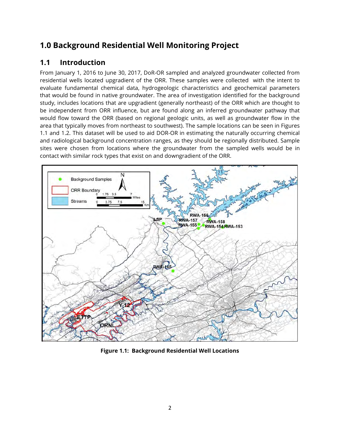## <span id="page-8-0"></span>**1.0 Background Residential Well Monitoring Project**

## <span id="page-8-1"></span>**1.1 Introduction**

From January 1, 2016 to June 30, 2017, DoR-OR sampled and analyzed groundwater collected from residential wells located upgradient of the ORR. These samples were collected with the intent to evaluate fundamental chemical data, hydrogeologic characteristics and geochemical parameters that would be found in native groundwater. The area of investigation identified for the background study, includes locations that are upgradient (generally northeast) of the ORR which are thought to be independent from ORR influence, but are found along an inferred groundwater pathway that would flow toward the ORR (based on regional geologic units, as well as groundwater flow in the area that typically moves from northeast to southwest). The sample locations can be seen in Figures 1.1 and 1.2. This dataset will be used to aid DOR-OR in estimating the naturally occurring chemical and radiological background concentration ranges, as they should be regionally distributed. Sample sites were chosen from locations where the groundwater from the sampled wells would be in contact with similar rock types that exist on and downgradient of the ORR.



**Figure 1.1: Background Residential Well Locations**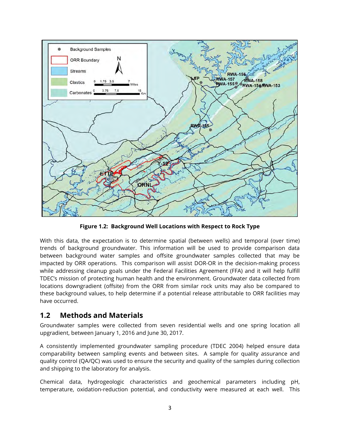

**Figure 1.2: Background Well Locations with Respect to Rock Type**

With this data, the expectation is to determine spatial (between wells) and temporal (over time) trends of background groundwater. This information will be used to provide comparison data between background water samples and offsite groundwater samples collected that may be impacted by ORR operations. This comparison will assist DOR-OR in the decision-making process while addressing cleanup goals under the Federal Facilities Agreement (FFA) and it will help fulfill TDEC's mission of protecting human health and the environment. Groundwater data collected from locations downgradient (offsite) from the ORR from similar rock units may also be compared to these background values, to help determine if a potential release attributable to ORR facilities may have occurred.

## <span id="page-9-0"></span>**1.2 Methods and Materials**

Groundwater samples were collected from seven residential wells and one spring location all upgradient, between January 1, 2016 and June 30, 2017.

A consistently implemented groundwater sampling procedure (TDEC 2004) helped ensure data comparability between sampling events and between sites. A sample for quality assurance and quality control (QA/QC) was used to ensure the security and quality of the samples during collection and shipping to the laboratory for analysis.

Chemical data, hydrogeologic characteristics and geochemical parameters including pH, temperature, oxidation-reduction potential, and conductivity were measured at each well. This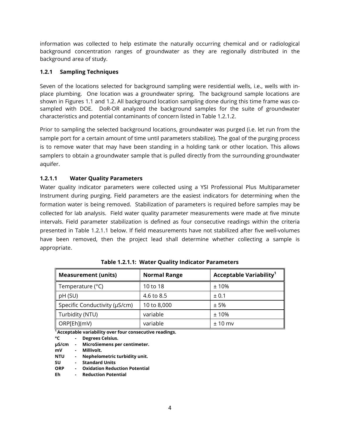information was collected to help estimate the naturally occurring chemical and or radiological background concentration ranges of groundwater as they are regionally distributed in the background area of study.

#### <span id="page-10-0"></span>**1.2.1 Sampling Techniques**

Seven of the locations selected for background sampling were residential wells, i.e., wells with inplace plumbing. One location was a groundwater spring. The background sample locations are shown in Figures 1.1 and 1.2. All background location sampling done during this time frame was cosampled with DOE. DoR-OR analyzed the background samples for the suite of groundwater characteristics and potential contaminants of concern listed in Table 1.2.1.2.

Prior to sampling the selected background locations, groundwater was purged (i.e. let run from the sample port for a certain amount of time until parameters stabilize). The goal of the purging process is to remove water that may have been standing in a holding tank or other location. This allows samplers to obtain a groundwater sample that is pulled directly from the surrounding groundwater aquifer.

#### **1.2.1.1 Water Quality Parameters**

Water quality indicator parameters were collected using a YSI Professional Plus Multiparameter Instrument during purging. Field parameters are the easiest indicators for determining when the formation water is being removed. Stabilization of parameters is required before samples may be collected for lab analysis. Field water quality parameter measurements were made at five minute intervals. Field parameter stabilization is defined as four consecutive readings within the criteria presented in Table 1.2.1.1 below. If field measurements have not stabilized after five well-volumes have been removed, then the project lead shall determine whether collecting a sample is appropriate.

| <b>Measurement (units)</b>    | <b>Normal Range</b> | <b>Acceptable Variability<sup>1</sup></b> |  |  |  |  |
|-------------------------------|---------------------|-------------------------------------------|--|--|--|--|
| Temperature (°C)              | 10 to 18            | ±10%                                      |  |  |  |  |
| pH (SU)                       | 4.6 to 8.5          | ± 0.1                                     |  |  |  |  |
| Specific Conductivity (µS/cm) | 10 to 8,000         | ±5%                                       |  |  |  |  |
| Turbidity (NTU)               | variable            | ±10%                                      |  |  |  |  |
| ORP[Eh](mV)                   | variable            | $± 10$ mv                                 |  |  |  |  |

**Table 1.2.1.1: Water Quality Indicator Parameters**

**1 Acceptable variability over four consecutive readings.**

**°C - Degrees Celsius.**

**NTU - Nephelometric turbidity unit.**

**SU - Standard Units**

**ORP - Oxidation Reduction Potential**

**Eh - Reduction Potential**

**µS/cm - MicroSiemens per centimeter.**

**mV - Millivolt.**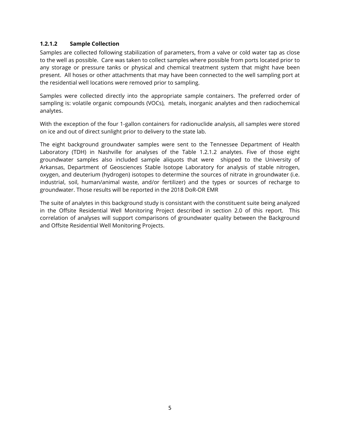#### **1.2.1.2 Sample Collection**

Samples are collected following stabilization of parameters, from a valve or cold water tap as close to the well as possible. Care was taken to collect samples where possible from ports located prior to any storage or pressure tanks or physical and chemical treatment system that might have been present. All hoses or other attachments that may have been connected to the well sampling port at the residential well locations were removed prior to sampling.

Samples were collected directly into the appropriate sample containers. The preferred order of sampling is: volatile organic compounds (VOCs), metals, inorganic analytes and then radiochemical analytes.

With the exception of the four 1-gallon containers for radionuclide analysis, all samples were stored on ice and out of direct sunlight prior to delivery to the state lab.

The eight background groundwater samples were sent to the Tennessee Department of Health Laboratory (TDH) in Nashville for analyses of the Table 1.2.1.2 analytes. Five of those eight groundwater samples also included sample aliquots that were shipped to the University of Arkansas, Department of Geosciences Stable Isotope Laboratory for analysis of stable nitrogen, oxygen, and deuterium (hydrogen) isotopes to determine the sources of nitrate in groundwater (i.e. industrial, soil, human/animal waste, and/or fertilizer) and the types or sources of recharge to groundwater. Those results will be reported in the 2018 DoR-OR EMR

The suite of analytes in this background study is consistant with the constituent suite being analyzed in the Offsite Residential Well Monitoring Project described in section 2.0 of this report. This correlation of analyses will support comparisons of groundwater quality between the Background and Offsite Residential Well Monitoring Projects.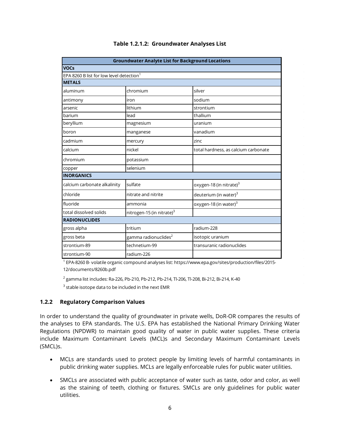| <b>Groundwater Analyte List for Background Locations</b> |                                  |                                      |  |  |  |  |  |  |  |
|----------------------------------------------------------|----------------------------------|--------------------------------------|--|--|--|--|--|--|--|
| <b>VOCs</b>                                              |                                  |                                      |  |  |  |  |  |  |  |
| EPA 8260 B list for low level detection <sup>1</sup>     |                                  |                                      |  |  |  |  |  |  |  |
| <b>METALS</b>                                            |                                  |                                      |  |  |  |  |  |  |  |
| aluminum                                                 | chromium                         | silver                               |  |  |  |  |  |  |  |
| antimony                                                 | iron                             | sodium                               |  |  |  |  |  |  |  |
| arsenic                                                  | lithium                          | strontium                            |  |  |  |  |  |  |  |
| barium                                                   | lead                             | thallium                             |  |  |  |  |  |  |  |
| beryllium                                                | magnesium                        | uranium                              |  |  |  |  |  |  |  |
| boron                                                    | manganese                        | vanadium                             |  |  |  |  |  |  |  |
| cadmium                                                  | mercury                          | zinc                                 |  |  |  |  |  |  |  |
| calcium                                                  | nickel                           | total hardness, as calcium carbonate |  |  |  |  |  |  |  |
| chromium                                                 | potassium                        |                                      |  |  |  |  |  |  |  |
| copper                                                   | selenium                         |                                      |  |  |  |  |  |  |  |
| <b>INORGANICS</b>                                        |                                  |                                      |  |  |  |  |  |  |  |
| calcium carbonate alkalinity                             | sulfate                          | oxygen-18 (in nitrate) <sup>3</sup>  |  |  |  |  |  |  |  |
| chloride                                                 | nitrate and nitrite              | deuterium (in water) <sup>3</sup>    |  |  |  |  |  |  |  |
| fluoride                                                 | ammonia                          | oxygen-18 (in water) <sup>3</sup>    |  |  |  |  |  |  |  |
| total dissolved solids                                   | nitrogen-15 (in nitrate) $3$     |                                      |  |  |  |  |  |  |  |
| <b>RADIONUCLIDES</b>                                     |                                  |                                      |  |  |  |  |  |  |  |
| gross alpha                                              | tritium                          | radium-228                           |  |  |  |  |  |  |  |
| gross beta                                               | gamma radionuclides <sup>2</sup> | isotopic uranium                     |  |  |  |  |  |  |  |
| strontium-89                                             | technetium-99                    | transuranic radionuclides            |  |  |  |  |  |  |  |
| strontium-90                                             | radium-226                       |                                      |  |  |  |  |  |  |  |

#### **Table 1.2.1.2: Groundwater Analyses List**

1 EPA-8260 B- volatile organic compound analyses list: https://www.epa.gov/sites/production/files/2015- 12/documents/8260b.pdf

2 gamma list includes: Ra-226, Pb-210, Pb-212, Pb-214, Tl-206, Tl-208, Bi-212, Bi-214, K-40

 $^3$  stable isotope data to be included in the next EMR

#### <span id="page-12-0"></span>**1.2.2 Regulatory Comparison Values**

In order to understand the quality of groundwater in private wells, DoR-OR compares the results of the analyses to EPA standards. The U.S. EPA has established the National Primary Drinking Water Regulations (NPDWR) to maintain good quality of water in public water supplies. These criteria include Maximum Contaminant Levels (MCL)s and Secondary Maximum Contaminant Levels (SMCL)s.

- MCLs are standards used to protect people by limiting levels of harmful contaminants in public drinking water supplies. MCLs are legally enforceable rules for public water utilities.
- SMCLs are associated with public acceptance of water such as taste, odor and color, as well as the staining of teeth, clothing or fixtures. SMCLs are only guidelines for public water utilities.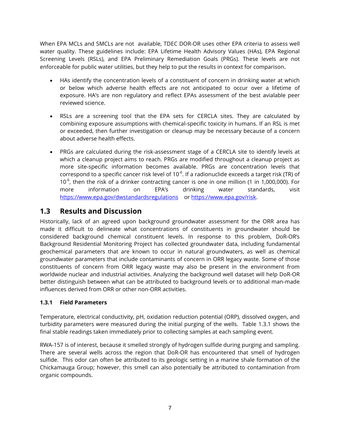When EPA MCLs and SMCLs are not available, TDEC DOR-OR uses other EPA criteria to assess well water quality. These guidelines include: EPA Lifetime Health Advisory Values (HAs), EPA Regional Screening Levels (RSLs), and EPA Preliminary Remediation Goals (PRGs). These levels are not enforceable for public water utilities, but they help to put the results in context for comparison.

- HAs identify the concentration levels of a constituent of concern in drinking water at which or below which adverse health effects are not anticipated to occur over a lifetime of exposure. HA's are non regulatory and reflect EPAs assessment of the best avialable peer reviewed science.
- RSLs are a screening tool that the EPA sets for CERCLA sites. They are calculated by combining exposure assumptions with chemical-specific toxicity in humans. If an RSL is met or exceeded, then further investigation or cleanup may be necessary because of a concern about adverse health effects.
- PRGs are calculated during the risk-assessment stage of a CERCLA site to identify levels at which a cleanup project aims to reach. PRGs are modified throughout a cleanup project as more site-specific information becomes available. PRGs are concentration levels that correspond to a specific cancer risk level of  $10^{-6}$ . If a radionuclide exceeds a target risk (TR) of  $10^{-6}$ , then the risk of a drinker contracting cancer is one in one million (1 in 1,000,000). For more information on EPA's drinking water standards, visit <https://www.epa.gov/dwstandardsregulations>or [https://www.epa.gov/risk.](https://www.epa.gov/risk)

## <span id="page-13-0"></span>**1.3 Results and Discussion**

Historically, lack of an agreed upon background groundwater assessment for the ORR area has made it difficult to delineate what concentrations of constituents in groundwater should be considered background chemical constituent levels. In response to this problem, DoR-OR's Background Residential Monitoring Project has collected groundwater data, including fundamental geochemical parameters that are known to occur in natural groundwaters, as well as chemical groundwater parameters that include contaminants of concern in ORR legacy waste. Some of those constituents of concern from ORR legacy waste may also be present in the environment from worldwide nuclear and industrial activities. Analyzing the background well dataset will help DoR-OR better distinguish between what can be attributed to background levels or to additional man-made influences derived from ORR or other non-ORR activities.

#### <span id="page-13-1"></span>**1.3.1 Field Parameters**

Temperature, electrical conductivity, pH, oxidation reduction potential (ORP), dissolved oxygen, and turbidity parameters were measured during the initial purging of the wells. Table 1.3.1 shows the final stable readings taken immediately prior to collecting samples at each sampling event.

RWA-157 is of interest, because it smelled strongly of hydrogen sulfide during purging and sampling. There are several wells across the region that DoR-OR has encountered that smell of hydrogen sulfide. This odor can often be attributed to its geologic setting in a marine shale formation of the Chickamauga Group; however, this smell can also potentially be attributed to contamination from organic compounds.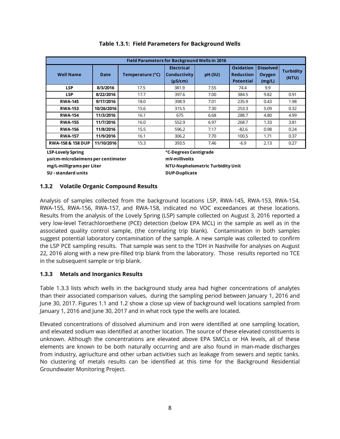|                              | <b>Field Parameters for Background Wells in 2016</b> |                  |                                                          |         |                                                          |                                      |                           |  |  |  |
|------------------------------|------------------------------------------------------|------------------|----------------------------------------------------------|---------|----------------------------------------------------------|--------------------------------------|---------------------------|--|--|--|
| <b>Well Name</b>             | Date                                                 | Temperature (°C) | <b>Electrical</b><br><b>Conductivity</b><br>$(\mu S/cm)$ | pH (SU) | <b>Oxidation</b><br><b>Reduction</b><br><b>Potential</b> | <b>Dissolved</b><br>Oxygen<br>(mg/L) | <b>Turbidity</b><br>(NTU) |  |  |  |
| <b>LSP</b>                   | 8/3/2016                                             | 17.5             | 381.9                                                    | 7.55    | 74.4                                                     | 9.9                                  |                           |  |  |  |
| <b>LSP</b>                   | 8/22/2016                                            | 17.7             | 397.6                                                    | 7.00    | 384.5                                                    | 9.82                                 | 0.91                      |  |  |  |
| <b>RWA-145</b>               | 9/17/2016                                            | 18.0             | 398.9                                                    | 7.01    | 235.9                                                    | 0.43                                 | 1.98                      |  |  |  |
| <b>RWA-153</b>               | 10/26/2016                                           | 15.6             | 315.5                                                    | 7.30    | 253.3                                                    | 5.09                                 | 0.32                      |  |  |  |
| <b>RWA-154</b>               | 11/3/2016                                            | 16.1             | 675                                                      | 6.68    | 288.7                                                    | 4.80                                 | 4.99                      |  |  |  |
| <b>RWA-155</b>               | 11/7/2016                                            | 16.0             | 552.9                                                    | 6.97    | 268.7                                                    | 1.33                                 | 3.81                      |  |  |  |
| <b>RWA-156</b>               | 11/8/2016                                            | 15.5             | 596.2                                                    | 7.17    | $-82.6$                                                  | 0.98                                 | 0.24                      |  |  |  |
| <b>RWA-157</b>               | 11/9/2016                                            | 16.1             | 306.2                                                    | 7.70    | 100.5                                                    | 1.71                                 | 0.37                      |  |  |  |
| <b>RWA-158 &amp; 158 DUP</b> | 11/10/2016                                           | 15.3             | 393.5                                                    | 7.46    | $-6.9$                                                   | 2.13                                 | 0.27                      |  |  |  |
| <b>LSP-Lovely Spring</b>     |                                                      |                  | <b>°C-Degrees Centigrade</b>                             |         |                                                          |                                      |                           |  |  |  |

#### **Table 1.3.1: Field Parameters for Background Wells**

**SU - standard units DUP-Duplicate µs/cm-microSeimens per centimeter mg/L-milligrams per Liter**

**mV-millivolts**

**NTU-Nephelometric Turbidity Unit** 

#### <span id="page-14-0"></span>**1.3.2 Volatile Organic Compound Results**

Analysis of samples collected from the background locations LSP, RWA-145, RWA-153, RWA-154, RWA-155, RWA-156, RWA-157, and RWA-158, indicated no VOC exceedances at these locations. Results from the analysis of the Lovely Spring (LSP) sample collected on August 3, 2016 reported a very low-level Tetrachloroethene (PCE) detection (below EPA MCL) in the sample as well as in the associated quality control sample, (the correlating trip blank). Contamination in both samples suggest potential laboratory contamination of the sample. A new sample was collected to confirm the LSP PCE sampling results. That sample was sent to the TDH in Nashville for analyses on August 22, 2016 along with a new pre-filled trip blank from the laboratory. Those results reported no TCE in the subsequent sample or trip blank.

#### <span id="page-14-1"></span>**1.3.3 Metals and Inorganics Results**

Table 1.3.3 lists which wells in the background study area had higher concentrations of analytes than their associated comparison values, during the sampling period between January 1, 2016 and June 30, 2017. Figures 1.1 and 1.2 show a close up view of background well locations sampled from January 1, 2016 and June 30, 2017 and in what rock type the wells are located.

Elevated concentrations of dissolved aluminum and iron were identified at one sampling location, and elevated sodium was identified at another location. The source of these elevated constituents is unknown. Although the concentrations are elevated above EPA SMCLs or HA levels, all of these elements are known to be both naturally occurring and are also found in man-made discharges from industry, agriuclture and other urban activities such as leakage from sewers and septic tanks. No clustering of metals results can be identified at this time for the Background Residential Groundwater Monitoring Project.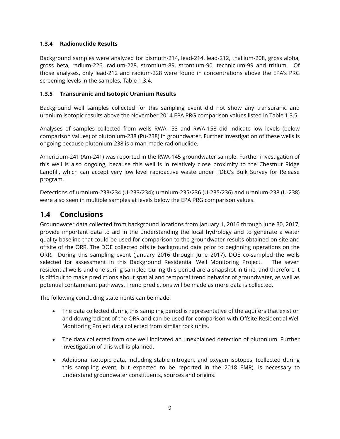#### <span id="page-15-0"></span>**1.3.4 Radionuclide Results**

Background samples were analyzed for bismuth-214, lead-214, lead-212, thallium-208, gross alpha, gross beta, radium-226, radium-228, strontium-89, strontium-90, technicium-99 and tritium. Of those analyses, only lead-212 and radium-228 were found in concentrations above the EPA's PRG screening levels in the samples, Table 1.3.4.

#### <span id="page-15-1"></span>**1.3.5 Transuranic and Isotopic Uranium Results**

Background well samples collected for this sampling event did not show any transuranic and uranium isotopic results above the November 2014 EPA PRG comparison values listed in Table 1.3.5.

Analyses of samples collected from wells RWA-153 and RWA-158 did indicate low levels (below comparison values) of plutonium-238 (Pu-238) in groundwater. Further investigation of these wells is ongoing because plutonium-238 is a man-made radionuclide.

Americium-241 (Am-241) was reported in the RWA-145 groundwater sample. Further investigation of this well is also ongoing, because this well is in relatively close proximity to the Chestnut Ridge Landfill, which can accept very low level radioactive waste under TDEC's Bulk Survey for Release program.

Detections of uranium-233/234 (U-233/234); uranium-235/236 (U-235/236) and uranium-238 (U-238) were also seen in multiple samples at levels below the EPA PRG comparison values.

## <span id="page-15-2"></span>**1.4 Conclusions**

Groundwater data collected from background locations from January 1, 2016 through June 30, 2017, provide important data to aid in the understanding the local hydrology and to generate a water quality baseline that could be used for comparison to the groundwater results obtained on-site and offsite of the ORR. The DOE collected offsite background data prior to beginning operations on the ORR. During this sampling event (January 2016 through June 2017), DOE co-sampled the wells selected for assessment in this Background Residential Well Monitoring Project. The seven residential wells and one spring sampled during this period are a snapshot in time, and therefore it is difficult to make predictions about spatial and temporal trend behavior of groundwater, as well as potential contaminant pathways. Trend predictions will be made as more data is collected.

The following concluding statements can be made:

- The data collected during this sampling period is representative of the aquifers that exist on and downgradient of the ORR and can be used for comparison with Offsite Residential Well Monitoring Project data collected from similar rock units.
- The data collected from one well indicated an unexplained detection of plutonium. Further investigation of this well is planned.
- Additional isotopic data, including stable nitrogen, and oxygen isotopes, (collected during this sampling event, but expected to be reported in the 2018 EMR), is necessary to understand groundwater constituents, sources and origins.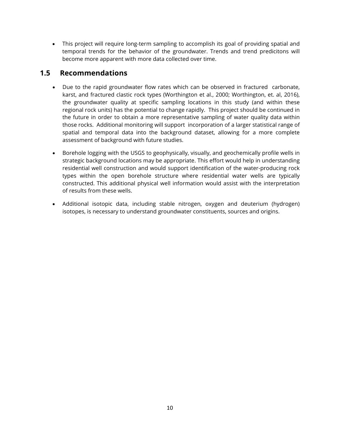• This project will require long-term sampling to accomplish its goal of providing spatial and temporal trends for the behavior of the groundwater. Trends and trend predicitons will become more apparent with more data collected over time.

### <span id="page-16-0"></span>**1.5 Recommendations**

- Due to the rapid groundwater flow rates which can be observed in fractured carbonate, karst, and fractured clastic rock types (Worthington et al., 2000; Worthington, et. al, 2016), the groundwater quality at specific sampling locations in this study (and within these regional rock units) has the potential to change rapidly. This project should be continued in the future in order to obtain a more representative sampling of water quality data within those rocks. Additional monitoring will support incorporation of a larger statistical range of spatial and temporal data into the background dataset, allowing for a more complete assessment of background with future studies.
- Borehole logging with the USGS to geophysically, visually, and geochemically profile wells in strategic background locations may be appropriate. This effort would help in understanding residential well construction and would support identification of the water-producing rock types within the open borehole structure where residential water wells are typically constructed. This additional physical well information would assist with the interpretation of results from these wells.
- Additional isotopic data, including stable nitrogen, oxygen and deuterium (hydrogen) isotopes, is necessary to understand groundwater constituents, sources and origins.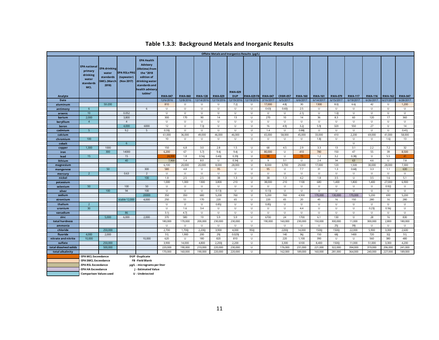|                        | Offsite Metals and Inorganics Results (µg/L)                                   |                                                                   |                                                 |                                                                                                                                                     |                |                |                |                                                                                                            |                                                                                                            |                   |                |                 |                |                |                |                |                |                |                |
|------------------------|--------------------------------------------------------------------------------|-------------------------------------------------------------------|-------------------------------------------------|-----------------------------------------------------------------------------------------------------------------------------------------------------|----------------|----------------|----------------|------------------------------------------------------------------------------------------------------------|------------------------------------------------------------------------------------------------------------|-------------------|----------------|-----------------|----------------|----------------|----------------|----------------|----------------|----------------|----------------|
| Analyte                | <b>EPA</b> national<br>primary<br>drinking<br>water<br>standards<br><b>MCL</b> | EPA drinking<br>water<br>standards<br><b>SMCL (March</b><br>2018) | <b>EPA RSLs PRG</b><br>(tapwater)<br>(Nov 2017) | <b>EPA Health</b><br><b>Advisory</b><br>(lifetime) from<br>the "2018<br>edition of<br>drinking water<br>standards and<br>health advisory<br>tables" | <b>RWA-047</b> | <b>RWA-060</b> | <b>RWA-128</b> | <b>RWA-029</b>                                                                                             | <b>RWA-029</b><br><b>DUP</b>                                                                               | <b>RWA-029 FB</b> | <b>RWA-047</b> | <b>CRBR-057</b> | <b>RWA-160</b> | <b>RWA-161</b> | <b>RWA-079</b> | <b>RWA-117</b> | <b>RWA-116</b> | <b>RWA-162</b> | <b>RWA-047</b> |
| <b>Date</b>            |                                                                                |                                                                   |                                                 |                                                                                                                                                     | 12/6/2016      | 12/8/2016      | 12/14/2016     | 12/19/2016                                                                                                 | 12/19/2016                                                                                                 | 12/19/2016        | 2/16/2017      | 6/5/2017        | 6/6/2017       | 6/14/2017      | 6/15/2017      | 6/19/2017      | 6/26/2017      | 5/27/2017      | 6/28/2017      |
| aluminum               |                                                                                | 50-200                                                            |                                                 |                                                                                                                                                     | 810            | U              | $\cup$         | U                                                                                                          | 7.2                                                                                                        | U                 | 17,000         | 4.8             | 30             | 1300           | 8.01           | 6.6            | 42             | U              | 1,200          |
| antimony               | 6                                                                              |                                                                   |                                                 | $6\,$                                                                                                                                               | $\cup$         | $\cup$         | $\cup$         | $\mathsf{U}% _{T}=\mathsf{U}_{T}\!\left( a,b\right) ,\ \mathsf{U}_{T}=\mathsf{U}_{T}\!\left( a,b\right) ,$ | $\cup$                                                                                                     | $\sf U$           | 0.63           | 0.60            | 2.5            | $\cup$         | U              | U              | $\cup$         | $\cup$         | U              |
| arsenic                | 10 <sup>°</sup>                                                                |                                                                   | 0.052                                           |                                                                                                                                                     | U              | $\cup$         | $\cup$         | U                                                                                                          | $\cup$                                                                                                     | U                 | $\cup$         | $\cup$          | 2.1            | $\cup$         | 1.01           | U              | $\cup$         | $\cup$         | U              |
| barium                 | 2,000                                                                          |                                                                   | 3,800                                           |                                                                                                                                                     | 300            | 170            | 90             | 14                                                                                                         | 13                                                                                                         | U                 | 270            | 10              | 14             | 36             | 8.3            | 60             | 120            | 17             | 360            |
| beryllium              | $\overline{4}$                                                                 |                                                                   | $\overline{4}$                                  |                                                                                                                                                     | $\cup$         | $\cup$         | $\cup$         | $\cup$                                                                                                     | $\cup$                                                                                                     | $\cup$            | $\cup$         | $\cup$          | $\cup$         | U              | U              | U              | $\cup$         | $\cup$         | U              |
| boron                  |                                                                                |                                                                   | 4,000                                           | 6000                                                                                                                                                | 12             | U              | 7.3            | U                                                                                                          | U                                                                                                          | U                 | 16             | 4.9             | 3.2            | 5.9            | 320            | 550            | 27             | U              | 14             |
| cadmium                | $5\overline{5}$                                                                |                                                                   | 9.2                                             | 5                                                                                                                                                   | 0.33           | U              | $\cup$         | $\cup$                                                                                                     | U                                                                                                          | $\cup$            | 1.4            | $\sf U$         | 0.88           | U              | U              | U              | $\mathsf U$    | U              | 0.41           |
| calcium                |                                                                                |                                                                   |                                                 |                                                                                                                                                     | 61,000         | 36,000         | 49,000         | 46.000                                                                                                     | 46,000                                                                                                     | $\cup$            | 65,000         | 58,000          | 45,000         | 33,000         | 410            | 2,200          | 69,000         | 41,000         | 58,000         |
| chromium               | 100                                                                            |                                                                   |                                                 |                                                                                                                                                     | 10             | $\cup$         | $\cup$         | U                                                                                                          | U                                                                                                          | U                 | $\cup$         | U               | U              | 1.8            | U              | U              | $\mathsf U$    | 1.6            | 13             |
| cobalt                 |                                                                                |                                                                   | 6                                               |                                                                                                                                                     |                |                |                |                                                                                                            |                                                                                                            |                   |                |                 |                |                |                | U              |                |                |                |
| copper                 | 1,300                                                                          | 1000                                                              |                                                 |                                                                                                                                                     | 150            | 6.8            | 3.0            | 2.8                                                                                                        | 1.5                                                                                                        | $\cup$            | 68             | 4.5             | 2.9            | 3.3            | 13             | 3.1            | 2.2            | 7.2            | 32             |
| iron                   |                                                                                | 300                                                               | 14000                                           |                                                                                                                                                     | 6,200          | 67             | 5.7            | 9.4                                                                                                        | 9.4                                                                                                        | U                 | 80,000         | U               | 410            | 780            | 150            | 47             | 55             | 39             | 8,500          |
| lead                   | 15                                                                             |                                                                   | 15                                              |                                                                                                                                                     | 24.00          | 1.8            | 0.56           | 0.40                                                                                                       | 0.39                                                                                                       | $\cup$            | 98             | U               | 15             | 1.2            | 3.2            | 0.38           | $\sf U$        | 5.5            | 41             |
| lithium                |                                                                                |                                                                   | 40                                              |                                                                                                                                                     | 7,900          | 1.4            | 8.0            | U                                                                                                          | 0.34                                                                                                       | $\cup$            | 9              | 3.1             | U              | 2.4            | 34             | 63             | 4.6            | $\cup$         | 7.8            |
| magnesium              |                                                                                |                                                                   |                                                 |                                                                                                                                                     | 6,100          | 20,000         | 20,000         | 8,000                                                                                                      | 28,000                                                                                                     | U                 | 8,000          | 3,700           | 29,000         | 17,000         | 120            | 1,500          | 30,000         | 28,000         | 7,300          |
| manganese              |                                                                                | 50                                                                |                                                 | 300                                                                                                                                                 | 580            | 4.8            | $\cup$         | 95                                                                                                         | U                                                                                                          | $\cup$            | 95             | U               | 7.7            | 31             | 1.3            | 0.68           | 3.3            | 1.1            | 630            |
| mercury                | $\overline{2}$                                                                 |                                                                   | 0.63                                            | $\overline{2}$                                                                                                                                      | U              | U              | $\cup$         | U                                                                                                          | U                                                                                                          | $\cup$            | $\cup$         | U               | U              | U              | U              | $\cup$         | $\cup$         | $\cup$         | U              |
| nickel                 |                                                                                |                                                                   |                                                 | 100                                                                                                                                                 | 1.8            | 2.5            | 2.5            | 38                                                                                                         | 1.3                                                                                                        | $\cup$            | 38             | 1.3             | 4.2            | 1.8            | 3.5            | U              | 3.5            | 1.6            | 5.1            |
| potassium              |                                                                                |                                                                   |                                                 |                                                                                                                                                     | 1,000          | 1,300          | 1300           | 3,800                                                                                                      | 210                                                                                                        | $\cup$            | 38,000         | 210             | 1100           | 680            | 1,400          | 1,800          | 1,400          | 27,000         | 6,900          |
| selenium               | 50                                                                             |                                                                   | 100                                             | 50                                                                                                                                                  | U              | U              | $\mathbf{H}$   | U                                                                                                          | $\cup$                                                                                                     | U                 | $\cup$         | $\cup$          | U              | U              | U              | U              | $\sf U$        | 0.92           | U              |
| silver                 |                                                                                | 100                                                               | 94                                              | 100                                                                                                                                                 | U              | $\cup$         | $\cup$         | 0.13                                                                                                       | U                                                                                                          | U                 | 0.13           | $\cup$          | U              | U              | U              | $\overline{U}$ | $\sf U$        | $\cup$         | $\sf U$        |
| sodium                 |                                                                                |                                                                   |                                                 | 20000                                                                                                                                               | 350            | 350            | 680            | 5,200                                                                                                      | 760                                                                                                        | $\cup$            | 5,200          | 760             | 4,900          | 170,000        | 130,000        | 170,000        | 5,200          | 690            | 5,200          |
| strontium              |                                                                                |                                                                   | stable 12.000                                   | 4.000                                                                                                                                               | 250            | 51             | 170            | 220                                                                                                        | 65                                                                                                         | $\cup$            | 220            | 65              | 20             | 45             | 16             | 150            | 280            | 16             | 280            |
| thalium                | $\overline{2}$                                                                 |                                                                   |                                                 |                                                                                                                                                     | U              | U              | $\cup$         | 0.85                                                                                                       | $\cup$                                                                                                     | $\cup$            | 0.85           | $\cup$          | U              | U              | U              | U              | $\cup$         | U              | $\cup$         |
| uranium                | 30 <sub>2</sub>                                                                |                                                                   |                                                 |                                                                                                                                                     | $\cup$         | 1.6            | 3.4            | U                                                                                                          | U                                                                                                          | U                 | $\cup$         | U               | 4.4            | U              | U              | U              | 0.23           | 0.56           | U              |
| vanadium               |                                                                                |                                                                   | 86                                              |                                                                                                                                                     | 3.1            | 4.7            | $\sf U$        | $\mathsf{U}% _{T}=\mathsf{U}_{T}\!\left( a,b\right) ,\ \mathsf{U}_{T}=\mathsf{U}_{T}\!\left( a,b\right) ,$ | $\mathsf{U}% _{T}=\mathsf{U}_{T}\!\left( a,b\right) ,\ \mathsf{U}_{T}=\mathsf{U}_{T}\!\left( a,b\right) ,$ | $\cup$            | $\cup$         | $\sf U$         | U              | U              | U              | U              | U              | $\mathsf U$    | U              |
| zinc                   |                                                                                | 5,000                                                             | 6,000                                           | 2,000                                                                                                                                               | 370            | 580            | 19             | 5.9                                                                                                        | 5.9                                                                                                        | $\cup$            | 6700           | 24              | 1700           | 6.1            | 130            | U              | 28             | 16             | 830            |
| total hardness         |                                                                                |                                                                   |                                                 |                                                                                                                                                     | 180,000        | 170,000        | 200,000        | 230,000                                                                                                    | 230,000                                                                                                    | U                 | 190,000        | 160,000         | 230,000        | 150,000        | 300,000        | 11,000         | 300,000        | 2,800          | 180,000        |
| ammonia                |                                                                                |                                                                   |                                                 |                                                                                                                                                     | Ū              | $\cup$         | $\cup$         | U                                                                                                          | $\cup$                                                                                                     | $\cup$            |                | $\cup$          | $\cup$         | $\cup$         | 25             | 39J            | $\cup$         | U              | U              |
| chloride               |                                                                                | 250,000                                                           |                                                 |                                                                                                                                                     | 2,700          | 1,700J         | 2,200          | 3,900                                                                                                      | 4,000                                                                                                      | <b>950J</b>       |                | 2200            | 14,000         | 1500           | 1500           | 22,000         | 5,900          | 3,300          | 2,600          |
| fluoride               | 4,000                                                                          | 2,000                                                             |                                                 |                                                                                                                                                     | 51             | 1,900          | 200            | 29J                                                                                                        | 0.029                                                                                                      | U                 |                | 140             | 36             | 150            | 68             | 1400           | 720            | 32j            | 51             |
| nitrate and nitrite    | 10,000                                                                         |                                                                   |                                                 | 10,000                                                                                                                                              | 620            | $\cup$         | 180            | 820                                                                                                        | 810                                                                                                        | $\cup$            |                | 220             | 1,100          | 390            | U              | $\cup$         | 560            | 380            | 480            |
| sulfate                |                                                                                | 250,000                                                           |                                                 |                                                                                                                                                     | 3,900          | 14,000         | 4,800          | 2,200                                                                                                      | 2,200                                                                                                      | $\cup$            |                | 3,300           | 6100           | 8,400          | 1500           | 11,000         | 51,000         | 3,300          | 4,200          |
| total dissolved solids |                                                                                | 500,000                                                           |                                                 |                                                                                                                                                     | 220,000        | 190,000        | 210,000        | 220,000                                                                                                    | 230,000                                                                                                    | $\sf U$           |                | 176,000         | 231,000        | 221,000        | 322,000        | 394,000        | 319,000        | 206,000        | 241,000        |
| total alkalinity       |                                                                                |                                                                   |                                                 |                                                                                                                                                     | 170,000        | 160,000        | 190,000        | 220,000                                                                                                    | 220,000                                                                                                    | $\cup$            |                | 162,000         | 189,000        | 160,000        | 281,000        | 364,000        | 240,000        | 227,000        | 189,000        |
|                        | <b>EPA MCL Exceedance</b><br><b>EPA SMCL Exceedance</b>                        |                                                                   |                                                 | <b>DUP</b> -Duplicate<br>FB -Field Blank                                                                                                            |                |                |                |                                                                                                            |                                                                                                            |                   |                |                 |                |                |                |                |                |                |                |
|                        | <b>EPA RSL Exceedance</b>                                                      |                                                                   |                                                 | µg/L - micrograms per liter                                                                                                                         |                |                |                |                                                                                                            |                                                                                                            |                   |                |                 |                |                |                |                |                |                |                |
|                        | <b>EPA HA Exceedance</b>                                                       |                                                                   |                                                 | J - Estimated Value                                                                                                                                 |                |                |                |                                                                                                            |                                                                                                            |                   |                |                 |                |                |                |                |                |                |                |

#### **Table 1.3.3: Background Metals and Inorganic Results**

**- Comparison Values used U - Undetected**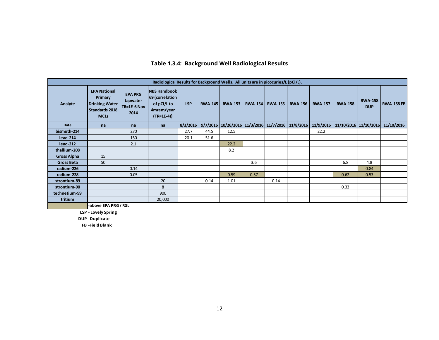#### **Table 1.3.4: Background Well Radiological Results**

|                    | Radiological Results for Background Wells. All units are in picocuries/L (pCi/L). |                                                   |                                                                                    |            |                |                                                                       |                |                |                |                |                       |                              |                   |
|--------------------|-----------------------------------------------------------------------------------|---------------------------------------------------|------------------------------------------------------------------------------------|------------|----------------|-----------------------------------------------------------------------|----------------|----------------|----------------|----------------|-----------------------|------------------------------|-------------------|
| Analyte            | <b>EPA National</b><br>Primary<br>Drinking Water<br>Standards 2018<br><b>MCLs</b> | <b>EPA PRG</b><br>tapwater<br>TR=1E-6 Nov<br>2014 | <b>NBS Handbook</b><br>69 (correlation<br>of pCi/L to<br>4mrem/year<br>$(TR=1E-4)$ | <b>LSP</b> | <b>RWA-145</b> | <b>RWA-153</b>                                                        | <b>RWA-154</b> | <b>RWA-155</b> | <b>RWA-156</b> | <b>RWA-157</b> | <b>RWA-158</b>        | <b>RWA-158</b><br><b>DUP</b> | <b>RWA-158 FB</b> |
| <b>Date</b>        | na                                                                                | na                                                | na                                                                                 | 8/3/2016   |                | 9/7/2016   10/26/2016   11/3/2016   11/7/2016   11/8/2016   11/9/2016 |                |                |                |                | 11/10/2016 11/10/2016 |                              | 11/10/2016        |
| bismuth-214        |                                                                                   | 270                                               |                                                                                    | 27.7       | 44.5           | 12.5                                                                  |                |                |                | 22.2           |                       |                              |                   |
| lead-214           |                                                                                   | 150                                               |                                                                                    | 20.1       | 51.6           |                                                                       |                |                |                |                |                       |                              |                   |
| lead-212           |                                                                                   | 2.1                                               |                                                                                    |            |                | 22.2                                                                  |                |                |                |                |                       |                              |                   |
| thallium-208       |                                                                                   |                                                   |                                                                                    |            |                | 8.2                                                                   |                |                |                |                |                       |                              |                   |
| <b>Gross Alpha</b> | 15                                                                                |                                                   |                                                                                    |            |                |                                                                       |                |                |                |                |                       |                              |                   |
| <b>Gross Beta</b>  | 50                                                                                |                                                   |                                                                                    |            |                |                                                                       | 3.6            |                |                |                | 6.8                   | 4.8                          |                   |
| radium-226         |                                                                                   | 0.14                                              |                                                                                    |            |                |                                                                       |                |                |                |                |                       | 0.84                         |                   |
| radium-228         |                                                                                   | 0.05                                              |                                                                                    |            |                | 0.59                                                                  | 0.57           |                |                |                | 0.62                  | 0.53                         |                   |
| strontium-89       |                                                                                   |                                                   | 20                                                                                 |            | 0.14           | 1.01                                                                  |                | 0.14           |                |                |                       |                              |                   |
| strontium-90       |                                                                                   |                                                   | 8                                                                                  |            |                |                                                                       |                |                |                |                | 0.33                  |                              |                   |
| technetium-99      |                                                                                   |                                                   | 900                                                                                |            |                |                                                                       |                |                |                |                |                       |                              |                   |
| tritium            |                                                                                   |                                                   | 20,000                                                                             |            |                |                                                                       |                |                |                |                |                       |                              |                   |
|                    | -above EPA PRG / RSL                                                              |                                                   |                                                                                    |            |                |                                                                       |                |                |                |                |                       |                              |                   |

**-above EPA PRG / RSL**

**LSP - Lovely Spring**

**DUP -Duplicate**

**FB -Field Blank**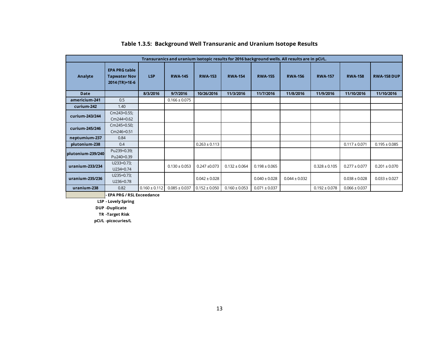|                   | Transuranics and uranium isotopic results for 2016 background wells. All results are in pCi/L. |                   |                   |                   |                   |                   |                   |                   |                   |                    |  |
|-------------------|------------------------------------------------------------------------------------------------|-------------------|-------------------|-------------------|-------------------|-------------------|-------------------|-------------------|-------------------|--------------------|--|
| Analyte           | <b>EPA PRG table</b><br><b>Tapwater Nov</b><br>2014 (TR)=1E-6                                  | <b>LSP</b>        | <b>RWA-145</b>    | <b>RWA-153</b>    | <b>RWA-154</b>    | <b>RWA-155</b>    | <b>RWA-156</b>    | <b>RWA-157</b>    | <b>RWA-158</b>    | <b>RWA-158 DUP</b> |  |
| <b>Date</b>       |                                                                                                | 8/3/2016          | 9/7/2016          | 10/26/2016        | 11/3/2016         | 11/7/2016         | 11/8/2016         | 11/9/2016         | 11/10/2016        | 11/10/2016         |  |
| americium-241     | 0.5                                                                                            |                   | $0.166 \pm 0.075$ |                   |                   |                   |                   |                   |                   |                    |  |
| curium-242        | 1.40                                                                                           |                   |                   |                   |                   |                   |                   |                   |                   |                    |  |
| curium-243/244    | Cm243=0.55;                                                                                    |                   |                   |                   |                   |                   |                   |                   |                   |                    |  |
|                   | Cm244=0.62                                                                                     |                   |                   |                   |                   |                   |                   |                   |                   |                    |  |
| curium-245/246    | Cm245=0.50;                                                                                    |                   |                   |                   |                   |                   |                   |                   |                   |                    |  |
|                   | Cm246=0.51                                                                                     |                   |                   |                   |                   |                   |                   |                   |                   |                    |  |
| neptumium-237     | 0.84                                                                                           |                   |                   |                   |                   |                   |                   |                   |                   |                    |  |
| plutonium-238     | 0.4                                                                                            |                   |                   | $0.263 \pm 0.113$ |                   |                   |                   |                   | $0.117 \pm 0.071$ | $0.195 \pm 0.085$  |  |
| plutonium-239/240 | Pu239=0.39;                                                                                    |                   |                   |                   |                   |                   |                   |                   |                   |                    |  |
|                   | Pu240=0.39                                                                                     |                   |                   |                   |                   |                   |                   |                   |                   |                    |  |
| uranium-233/234   | $U233=0.73$ ;                                                                                  |                   | $0.130 \pm 0.053$ | $0.247 \pm 0.073$ | $0.132 \pm 0.064$ | $0.198 \pm 0.065$ |                   | $0.328 \pm 0.105$ | $0.277 \pm 0.077$ | $0.201 \pm 0.070$  |  |
|                   | $U234=0.74$                                                                                    |                   |                   |                   |                   |                   |                   |                   |                   |                    |  |
| uranium-235/236   | $U235=0.73;$                                                                                   |                   |                   |                   |                   | $0.040 \pm 0.028$ | $0.044 \pm 0.032$ |                   | $0.038 \pm 0.028$ | $0.033 \pm 0.027$  |  |
|                   | U236=0.78                                                                                      |                   |                   | $0.042 \pm 0.028$ |                   |                   |                   |                   |                   |                    |  |
| uranium-238       | 0.82                                                                                           | $0.160 \pm 0.112$ | $0.085 \pm 0.037$ | $0.152 \pm 0.050$ | $0.160 \pm 0.053$ | $0.071 \pm 0.037$ |                   | $0.192 \pm 0.078$ | $0.066 \pm 0.037$ |                    |  |
|                   |                                                                                                |                   |                   |                   |                   |                   |                   |                   |                   |                    |  |

#### **Table 1.3.5: Background Well Transuranic and Uranium Isotope Results**

**- EPA PRG / RSL Exceedance**

**LSP - Lovely Spring**

**DUP -Duplicate**

**TR -Target Risk**

**pCi/L -picocuries/L**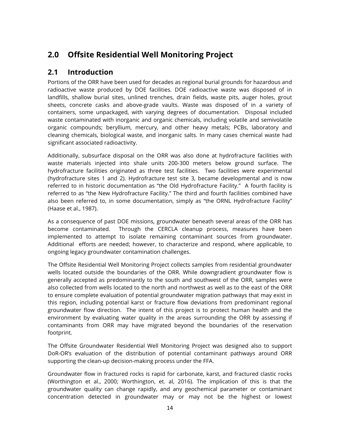## <span id="page-20-0"></span>**2.0 Offsite Residential Well Monitoring Project**

## <span id="page-20-1"></span>**2.1 Introduction**

Portions of the ORR have been used for decades as regional burial grounds for hazardous and radioactive waste produced by DOE facilities. DOE radioactive waste was disposed of in landfills, shallow burial sites, unlined trenches, drain fields, waste pits, auger holes, grout sheets, concrete casks and above-grade vaults. Waste was disposed of in a variety of containers, some unpackaged, with varying degrees of documentation. Disposal included waste contaminated with inorganic and organic chemicals, including volatile and semivolatile organic compounds; beryllium, mercury, and other heavy metals; PCBs, laboratory and cleaning chemicals, biological waste, and inorganic salts. In many cases chemical waste had significant associated radioactivity.

Additionally, subsurface disposal on the ORR was also done at hydrofracture facilities with waste materials injected into shale units 200-300 meters below ground surface. The hydrofracture facilities originated as three test facilities. Two facilities were experimental (hydrofracture sites 1 and 2). Hydrofracture test site 3, became developmental and is now referred to in historic documentation as "the Old Hydrofracture Facility." A fourth facility is referred to as "the New Hydrofracture Facility." The third and fourth facilities combined have also been referred to, in some documentation, simply as "the ORNL Hydrofracture Facility" (Haase et al., 1987).

As a consequence of past DOE missions, groundwater beneath several areas of the ORR has become contaminated. Through the CERCLA cleanup process, measures have been implemented to attempt to isolate remaining contaminant sources from groundwater. Additional efforts are needed; however, to characterize and respond, where applicable, to ongoing legacy groundwater contamination challenges.

The Offsite Residential Well Monitoring Project collects samples from residential groundwater wells located outside the boundaries of the ORR. While downgradient groundwater flow is generally accepted as predominantly to the south and southwest of the ORR, samples were also collected from wells located to the north and northwest as well as to the east of the ORR to ensure complete evaluation of potential groundwater migration pathways that may exist in this region, including potential karst or fracture flow deviations from predominant regional groundwater flow direction. The intent of this project is to protect human health and the environment by evaluating water quality in the areas surrounding the ORR by assessing if contaminants from ORR may have migrated beyond the boundaries of the reservation footprint.

The Offsite Groundwater Residential Well Monitoring Project was designed also to support DoR-OR's evaluation of the distribution of potential contaminant pathways around ORR supporting the clean-up decision-making process under the FFA.

Groundwater flow in fractured rocks is rapid for carbonate, karst, and fractured clastic rocks (Worthington et al., 2000; Worthington, et. al, 2016). The implication of this is that the groundwater quality can change rapidly, and any geochemical parameter or contaminant concentration detected in groundwater may or may not be the highest or lowest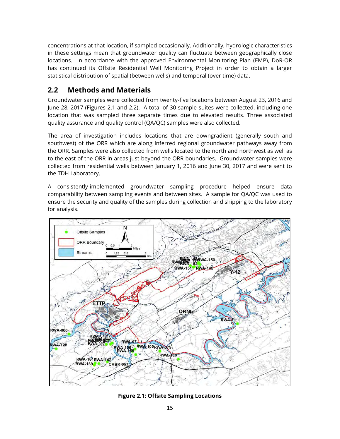concentrations at that location, if sampled occasionally. Additionally, hydrologic characteristics in these settings mean that groundwater quality can fluctuate between geographically close locations. In accordance with the approved Environmental Monitoring Plan (EMP), DoR-OR has continued its Offsite Residential Well Monitoring Project in order to obtain a larger statistical distribution of spatial (between wells) and temporal (over time) data.

## <span id="page-21-0"></span>**2.2 Methods and Materials**

Groundwater samples were collected from twenty-five locations between August 23, 2016 and June 28, 2017 (Figures 2.1 and 2.2). A total of 30 sample suites were collected, including one location that was sampled three separate times due to elevated results. Three associated quality assurance and quality control (QA/QC) samples were also collected.

The area of investigation includes locations that are downgradient (generally south and southwest) of the ORR which are along inferred regional groundwater pathways away from the ORR. Samples were also collected from wells located to the north and northwest as well as to the east of the ORR in areas just beyond the ORR boundaries. Groundwater samples were collected from residential wells between January 1, 2016 and June 30, 2017 and were sent to the TDH Laboratory.

A consistently-implemented groundwater sampling procedure helped ensure data comparability between sampling events and between sites. A sample for QA/QC was used to ensure the security and quality of the samples during collection and shipping to the laboratory for analysis.



**Figure 2.1: Offsite Sampling Locations**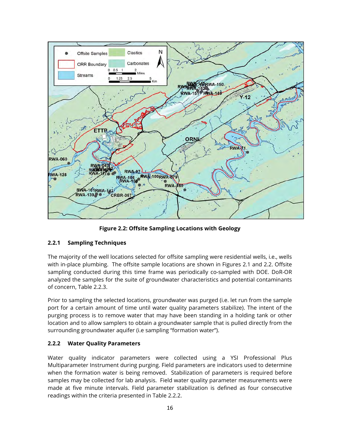

**Figure 2.2: Offsite Sampling Locations with Geology**

#### <span id="page-22-0"></span>**2.2.1 Sampling Techniques**

The majority of the well locations selected for offsite sampling were residential wells, i.e., wells with in-place plumbing. The offsite sample locations are shown in Figures 2.1 and 2.2. Offsite sampling conducted during this time frame was periodically co-sampled with DOE. DoR-OR analyzed the samples for the suite of groundwater characteristics and potential contaminants of concern, Table 2.2.3.

Prior to sampling the selected locations, groundwater was purged (i.e. let run from the sample port for a certain amount of time until water quality parameters stabilize). The intent of the purging process is to remove water that may have been standing in a holding tank or other location and to allow samplers to obtain a groundwater sample that is pulled directly from the surrounding groundwater aquifer (i.e sampling "formation water").

#### <span id="page-22-1"></span>**2.2.2 Water Quality Parameters**

Water quality indicator parameters were collected using a YSI Professional Plus Multiparameter Instrument during purging. Field parameters are indicators used to determine when the formation water is being removed. Stabilization of parameters is required before samples may be collected for lab analysis. Field water quality parameter measurements were made at five minute intervals. Field parameter stabilization is defined as four consecutive readings within the criteria presented in Table 2.2.2.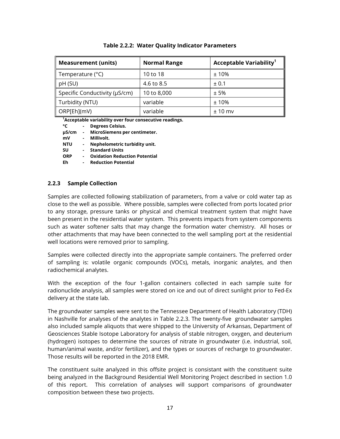| <b>Measurement (units)</b>    | <b>Normal Range</b> | <b>Acceptable Variability<sup>1</sup></b> |  |  |  |  |
|-------------------------------|---------------------|-------------------------------------------|--|--|--|--|
| Temperature (°C)              | 10 to 18            | ±10%                                      |  |  |  |  |
| pH (SU)                       | 4.6 to 8.5          | ± 0.1                                     |  |  |  |  |
| Specific Conductivity (µS/cm) | 10 to 8,000         | ±5%                                       |  |  |  |  |
| Turbidity (NTU)               | variable            | ±10%                                      |  |  |  |  |
| ORP[Eh](mV)                   | variable            | $± 10$ mv                                 |  |  |  |  |

**Table 2.2.2: Water Quality Indicator Parameters**

**1 Acceptable variability over four consecutive readings.**

**°C - Degrees Celsius.**

**µS/cm - MicroSiemens per centimeter.**

**mV - Millivolt.**

**NTU - Nephelometric turbidity unit.**

- **SU Standard Units**
- **ORP Oxidation Reduction Potential**

**Eh - Reduction Potential**

#### <span id="page-23-0"></span>**2.2.3 Sample Collection**

Samples are collected following stabilization of parameters, from a valve or cold water tap as close to the well as possible. Where possible, samples were collected from ports located prior to any storage, pressure tanks or physical and chemical treatment system that might have been present in the residential water system. This prevents impacts from system components such as water softener salts that may change the formation water chemistry. All hoses or other attachments that may have been connected to the well sampling port at the residential well locations were removed prior to sampling.

Samples were collected directly into the appropriate sample containers. The preferred order of sampling is: volatile organic compounds (VOCs), metals, inorganic analytes, and then radiochemical analytes.

With the exception of the four 1-gallon containers collected in each sample suite for radionuclide analysis, all samples were stored on ice and out of direct sunlight prior to Fed-Ex delivery at the state lab.

The groundwater samples were sent to the Tennessee Department of Health Laboratory (TDH) in Nashville for analyses of the analytes in Table 2.2.3. The twenty-five groundwater samples also included sample aliquots that were shipped to the University of Arkansas, Department of Geosciences Stable Isotope Laboratory for analysis of stable nitrogen, oxygen, and deuterium (hydrogen) isotopes to determine the sources of nitrate in groundwater (i.e. industrial, soil, human/animal waste, and/or fertilizer), and the types or sources of recharge to groundwater. Those results will be reported in the 2018 EMR.

The constituent suite analyzed in this offsite project is consistant with the constituent suite being analyzed in the Background Residential Well Monitoring Project described in section 1.0 of this report. This correlation of analyses will support comparisons of groundwater composition between these two projects.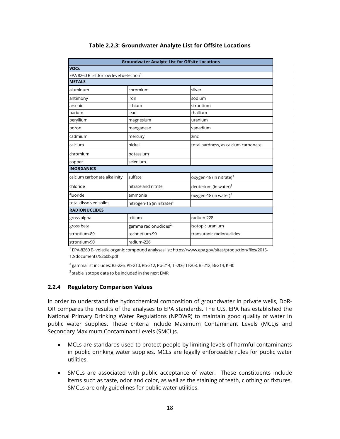| <b>Groundwater Analyte List for Offsite Locations</b> |                                       |                                      |  |  |  |  |  |  |  |  |
|-------------------------------------------------------|---------------------------------------|--------------------------------------|--|--|--|--|--|--|--|--|
| <b>VOCs</b>                                           |                                       |                                      |  |  |  |  |  |  |  |  |
| EPA 8260 B list for low level detection <sup>1</sup>  |                                       |                                      |  |  |  |  |  |  |  |  |
| <b>METALS</b>                                         |                                       |                                      |  |  |  |  |  |  |  |  |
| aluminum                                              | chromium                              | silver                               |  |  |  |  |  |  |  |  |
| antimony                                              | iron                                  | sodium                               |  |  |  |  |  |  |  |  |
| arsenic                                               | lithium                               | strontium                            |  |  |  |  |  |  |  |  |
| barium                                                | lead                                  | thallium                             |  |  |  |  |  |  |  |  |
| beryllium                                             | magnesium                             | uranium                              |  |  |  |  |  |  |  |  |
| boron                                                 | manganese                             | vanadium                             |  |  |  |  |  |  |  |  |
| cadmium                                               | mercury                               | zinc                                 |  |  |  |  |  |  |  |  |
| calcium                                               | nickel                                | total hardness, as calcium carbonate |  |  |  |  |  |  |  |  |
| chromium                                              | potassium                             |                                      |  |  |  |  |  |  |  |  |
| copper                                                | selenium                              |                                      |  |  |  |  |  |  |  |  |
| <b>INORGANICS</b>                                     |                                       |                                      |  |  |  |  |  |  |  |  |
| calcium carbonate alkalinity                          | sulfate                               | oxygen-18 (in nitrate) <sup>3</sup>  |  |  |  |  |  |  |  |  |
| chloride                                              | nitrate and nitrite                   | deuterium (in water) <sup>3</sup>    |  |  |  |  |  |  |  |  |
| fluoride                                              | ammonia                               | oxygen-18 (in water) <sup>3</sup>    |  |  |  |  |  |  |  |  |
| total dissolved solids                                | nitrogen-15 (in nitrate) <sup>3</sup> |                                      |  |  |  |  |  |  |  |  |
| <b>RADIONUCLIDES</b>                                  |                                       |                                      |  |  |  |  |  |  |  |  |
| gross alpha                                           | tritium                               | radium-228                           |  |  |  |  |  |  |  |  |
| gross beta                                            | gamma radionuclides <sup>2</sup>      | isotopic uranium                     |  |  |  |  |  |  |  |  |
| strontium-89                                          | technetium-99                         | transuranic radionuclides            |  |  |  |  |  |  |  |  |
| strontium-90                                          | radium-226                            |                                      |  |  |  |  |  |  |  |  |

#### **Table 2.2.3: Groundwater Analyte List for Offsite Locations**

1 EPA-8260 B- volatile organic compound analyses list: https://www.epa.gov/sites/production/files/2015- 12/documents/8260b.pdf

2 gamma list includes: Ra-226, Pb-210, Pb-212, Pb-214, Tl-206, Tl-208, Bi-212, Bi-214, K-40

 $3$  stable isotope data to be included in the next EMR

#### <span id="page-24-0"></span>**2.2.4 Regulatory Comparison Values**

In order to understand the hydrochemical composition of groundwater in private wells, DoR-OR compares the results of the analyses to EPA standards. The U.S. EPA has established the National Primary Drinking Water Regulations (NPDWR) to maintain good quality of water in public water supplies. These criteria include Maximum Contaminant Levels (MCL)s and Secondary Maximum Contaminant Levels (SMCL)s.

- MCLs are standards used to protect people by limiting levels of harmful contaminants in public drinking water supplies. MCLs are legally enforceable rules for public water utilities.
- SMCLs are associated with public acceptance of water. These constituents include items such as taste, odor and color, as well as the staining of teeth, clothing or fixtures. SMCLs are only guidelines for public water utilities.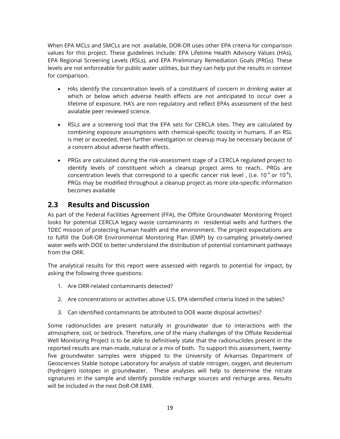When EPA MCLs and SMCLs are not available, DOR-OR uses other EPA criteria for comparison values for this project. These guidelines include: EPA Lifetime Health Advisory Values (HAs), EPA Regional Screening Levels (RSLs), and EPA Preliminary Remediation Goals (PRGs). These levels are not enforceable for public water utilities, but they can help put the results in context for comparison.

- HAs identify the concentration levels of a constituent of concern in drinking water at which or below which adverse health effects are not anticipated to occur over a lifetime of exposure. HA's are non regulatory and reflect EPAs assessment of the best avialable peer reviewed science.
- RSLs are a screening tool that the EPA sets for CERCLA sites. They are calculated by combining exposure assumptions with chemical-specific toxicity in humans. If an RSL is met or exceeded, then further investigation or cleanup may be necessary because of a concern about adverse health effects.
- PRGs are calculated during the risk-assessment stage of a CERCLA regulated project to identify levels of constituent which a cleanup project aims to reach.. PRGs are concentration levels that correspond to a specific cancer risk level, (i.e.  $10^{-4}$  or  $10^{-6}$ ). PRGs may be modified throughout a cleanup project as more site-specific information becomes available

## <span id="page-25-0"></span>**2.3 Results and Discussion**

As part of the Federal Facilities Agreement (FFA), the Offsite Groundwater Monitoring Project looks for potential CERCLA legacy waste contaminants in residential wells and furthers the TDEC mission of protecting human health and the environment. The project expectations are to fulfill the DoR-OR Environmental Monitoring Plan (EMP) by co-sampling privately-owned water wells with DOE to better understand the distribution of potential contaminant pathways from the ORR.

The analytical results for this report were assessed with regards to potential for impact, by asking the following three questions:

- 1. Are ORR-related contaminants detected?
- 2. Are concentrations or activities above U.S. EPA identified criteria listed in the tables?
- 3. Can identified contaminants be attributed to DOE waste disposal activities?

Some radionuclides are present naturally in groundwater due to interactions with the atmosphere, soil, or bedrock. Therefore, one of the many challenges of the Offsite Residential Well Monitoring Project is to be able to definitively state that the radionuclides present in the reported results are man-made, natural or a mix of both. To support this assessment, twentyfive groundwater samples were shipped to the University of Arkansas Department of Geosciences Stable Isotope Laboratory for analysis of stable nitrogen, oxygen, and deuterium (hydrogen) isotopes in groundwater. These analyses will help to determine the nitrate signatures in the sample and identify possible recharge sources and recharge area. Results will be included in the next DoR-OR EMR.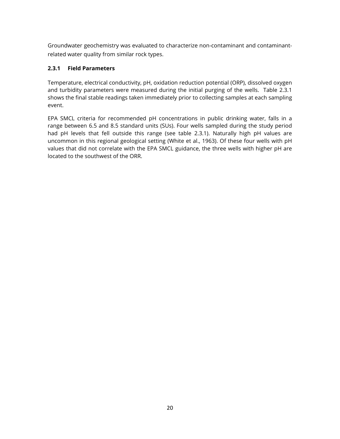Groundwater geochemistry was evaluated to characterize non-contaminant and contaminantrelated water quality from similar rock types.

#### <span id="page-26-0"></span>**2.3.1 Field Parameters**

Temperature, electrical conductivity, pH, oxidation reduction potential (ORP), dissolved oxygen and turbidity parameters were measured during the initial purging of the wells. Table 2.3.1 shows the final stable readings taken immediately prior to collecting samples at each sampling event.

EPA SMCL criteria for recommended pH concentrations in public drinking water, falls in a range between 6.5 and 8.5 standard units (SUs). Four wells sampled during the study period had pH levels that fell outside this range (see table 2.3.1). Naturally high pH values are uncommon in this regional geological setting (White et al., 1963). Of these four wells with pH values that did not correlate with the EPA SMCL guidance, the three wells with higher pH are located to the southwest of the ORR.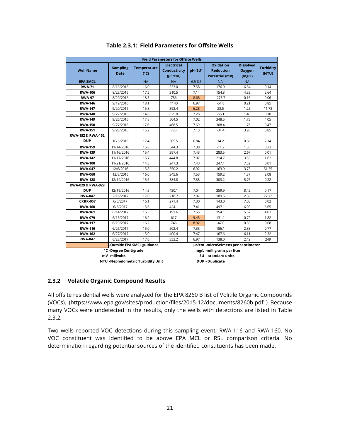|                              |                                |                                     | <b>Field Parameters for Offsite Wells</b>         |             |                                                        |                                      |                           |
|------------------------------|--------------------------------|-------------------------------------|---------------------------------------------------|-------------|--------------------------------------------------------|--------------------------------------|---------------------------|
| <b>Well Name</b>             | <b>Sampling</b><br><b>Date</b> | <b>Temperature</b><br>$(^{\circ}C)$ | <b>Electrical</b><br>Conductivity<br>$(\mu S/cm)$ | pH(SU)      | <b>Oxidation</b><br><b>Reduction</b><br>Potential (mV) | <b>Dissolved</b><br>Oxygen<br>(mg/L) | <b>Turbidity</b><br>(NTU) |
| <b>EPA SMCL</b>              |                                | <b>NA</b>                           | <b>NA</b>                                         | $6.5 - 8.5$ | <b>NA</b>                                              | <b>NA</b>                            |                           |
| <b>RWA-71</b>                | 8/15/2016                      | 16.0                                | 333.0                                             | 7.58        | 176.9                                                  | 6.54                                 | 0.14                      |
| <b>RWA-106</b>               | 8/23/2016                      | 17.5                                | 310.5                                             | 7.14        | 154.8                                                  | 4.33                                 | 2.64                      |
| <b>RWA-97</b>                | 8/29/2016                      | 18.3                                | 786                                               | 8.68        | $-273.7$                                               | 0.16                                 | 0.06                      |
| <b>RWA-146</b>               | 9/19/2016                      | 18.1                                | 1140                                              | 6.97        | $-51.8$                                                | 0.21                                 | 0.85                      |
| <b>RWA-147</b>               | 9/20/2016                      | 15.8                                | 392.4                                             | 6.28        | 23.5                                                   | 1.25                                 | 11.73                     |
| <b>RWA-148</b>               | 9/22/2016                      | 14.8                                | 625.0                                             | 7.26        | $-66.1$                                                | 1.40                                 | 0.18                      |
| <b>RWA-149</b>               | 9/26/2016                      | 17.8                                | 504.5                                             | 7.02        | 348.5                                                  | 1.73                                 | 4.05                      |
| <b>RWA-150</b>               | 9/27/2016                      | 17.6                                | 468.5                                             | 7.69        | 308.4                                                  | 1.76                                 | 0.47                      |
| <b>RWA-151</b>               | 9/28/2016                      | 16.2                                | 786                                               | 7.10        | $-31.4$                                                | 3.93                                 | 0.85                      |
| <b>RWA-152 &amp; RWA-152</b> |                                |                                     |                                                   |             |                                                        |                                      |                           |
| <b>DUP</b>                   | 10/5/2016                      | 17.4                                | 505.5                                             | 6.84        | 14.2                                                   | 0.88                                 | 2.14                      |
| <b>RWA-159</b>               | 11/14/2016                     | 15.8                                | 544.3                                             | 7.38        | $-11.2$                                                | 1.35                                 | 0.23                      |
| <b>RWA-139</b>               | 11/16/2016                     | 15.4                                | 397.4                                             | 7.43        | 283.5                                                  | 2.67                                 | 0.01                      |
| <b>RWA-142</b>               | 11/17/2016                     | 15.7                                | 444.8                                             | 7.07        | 214.7                                                  | 3.53                                 | 1.62                      |
| <b>RWA-100</b>               | 11/21/2016                     | 14.3                                | 247.3                                             | 7.43        | 247.1                                                  | 7.32                                 | 0.01                      |
| <b>RWA-047</b>               | 12/6/2016                      | 15.8                                | 350.2                                             | 6.92        | 163.9                                                  | 3.73                                 | 51.35                     |
| <b>RWA-060</b>               | 12/8/2016                      | 16.0                                | 345.6                                             | 7.53        | 159.2                                                  | 1.37                                 | 2.08                      |
| <b>RWA-128</b>               | 12/14/2016                     | 15.6                                | 384.8                                             | 7.38        | 303.2                                                  | 5.76                                 | 0.22                      |
| RWA-029 & RWA-029            |                                |                                     |                                                   |             |                                                        |                                      |                           |
| <b>DUP</b>                   | 12/19/2016                     | 14.5                                | 430.1                                             | 7.04        | 359.9                                                  | 8.42                                 | 0.17                      |
| <b>RWA-047</b>               | 2/16/2017                      | 17.0                                | 218.7                                             | 7.07        | 189.5                                                  | 2.38                                 | 72.73                     |
| <b>CRBR-057</b>              | 6/5/2017                       | 16.1                                | 271.4                                             | 7.30        | 143.0                                                  | 7.03                                 | 0.02                      |
| <b>RWA-160</b>               | 6/6/2017                       | 15.6                                | 424.1                                             | 7.41        | 497.1                                                  | 6.03                                 | 6.65                      |
| <b>RWA-161</b>               | 6/14/2017                      | 15.3                                | 191.6                                             | 7.55        | 154.1                                                  | 5.67                                 | 4.03                      |
| <b>RWA-079</b>               | 6/15/2017                      | 16.2                                | 617                                               | 9.45        | 131.1                                                  | 0.72                                 | 1.82                      |
| <b>RWA-117</b>               | 6/19/2017                      | 16.2                                | 746                                               | 8.92        | $-47.0$                                                | 0.85                                 | 0.68                      |
| <b>RWA-116</b>               | 6/26/2017                      | 15.0                                | 502.4                                             | 7.33        | 156.1                                                  | 2.83                                 | 0.77                      |
| <b>RWA-162</b>               | 6/27/2017                      | 15.0                                | 400.4                                             | 7.47        | 167.6                                                  | 6.11                                 | 2.32                      |
| <b>RWA-047</b>               | 6/28/2017                      | 17.6                                | 353.2                                             | 6.97        | 138.0                                                  | 2.42                                 | 249                       |
|                              |                                | -Outside EPA SMCL guidance          |                                                   |             | µs/cm -microSeimens per centimeter                     |                                      |                           |
|                              | °C -Degree Centigrade          |                                     |                                                   |             | mg/L -milligrams per liter                             |                                      |                           |
|                              | mV -milivolts                  |                                     |                                                   |             | SU - standard units                                    |                                      |                           |

#### **Table 2.3.1: Field Parameters for Offsite Wells**

**NTU -Nephelometric Turbidity Unit DUP - Duplicate** 

#### <span id="page-27-0"></span>**2.3.2 Volatile Organic Compound Results**

All offsite residential wells were analyzed for the EPA 8260 B list of Volitile Organic Compounds (VOCs). (https://www.epa.gov/sites/production/files/2015-12/documents/8260b.pdf ) Because many VOCs were undetected in the results, only the wells with detections are listed in Table 2.3.2.

Two wells reported VOC detections during this sampling event; RWA-116 and RWA-160. No VOC constituent was identified to be above EPA MCL or RSL comparison criteria. No determination regarding potential sources of the identified constituents has been made.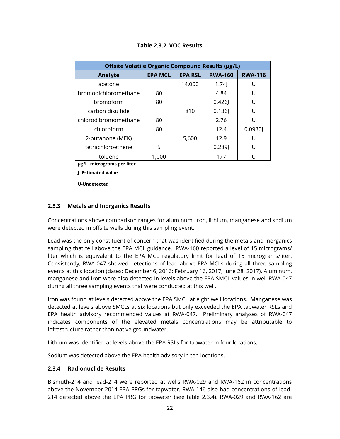|                      | Offsite Volatile Organic Compound Results (µg/L) |                |                |                |  |  |  |  |  |  |
|----------------------|--------------------------------------------------|----------------|----------------|----------------|--|--|--|--|--|--|
| <b>Analyte</b>       | <b>EPA MCL</b>                                   | <b>EPA RSL</b> | <b>RWA-160</b> | <b>RWA-116</b> |  |  |  |  |  |  |
| acetone              |                                                  | 14,000         | 1.74           | U              |  |  |  |  |  |  |
| bromodichloromethane | 80                                               |                | 4.84           | U              |  |  |  |  |  |  |
| bromoform            | 80                                               |                | 0.426          | U              |  |  |  |  |  |  |
| carbon disulfide     |                                                  | 810            | 0.136          | U              |  |  |  |  |  |  |
| chlorodibromomethane | 80                                               |                | 2.76           | U              |  |  |  |  |  |  |
| chloroform           | 80                                               |                | 12.4           | 0.0930         |  |  |  |  |  |  |
| 2-butanone (MEK)     |                                                  | 5,600          | 12.9           | U              |  |  |  |  |  |  |
| tetrachloroethene    | 5                                                |                | 0.289          | U              |  |  |  |  |  |  |
| toluene              | 1,000                                            |                | 177            |                |  |  |  |  |  |  |

#### **Table 2.3.2 VOC Results**

**µg/L- micrograms per liter**

**J- Estimated Value**

**U-Undetected**

#### <span id="page-28-0"></span>**2.3.3 Metals and Inorganics Results**

Concentrations above comparison ranges for aluminum, iron, lithium, manganese and sodium were detected in offsite wells during this sampling event.

Lead was the only constituent of concern that was identified during the metals and inorganics sampling that fell above the EPA MCL guidance. RWA-160 reported a level of 15 micrograms/ liter which is equivalent to the EPA MCL regulatory limit for lead of 15 micrograms/liter. Consistently, RWA-047 showed detections of lead above EPA MCLs during all three sampling events at this location (dates: December 6, 2016; February 16, 2017; June 28, 2017). Aluminum, manganese and iron were also detected in levels above the EPA SMCL values in well RWA-047 during all three sampling events that were conducted at this well.

Iron was found at levels detected above the EPA SMCL at eight well locations. Manganese was detected at levels above SMCLs at six locations but only exceeded the EPA tapwater RSLs and EPA health advisory recommended values at RWA-047. Preliminary analyses of RWA-047 indicates components of the elevated metals concentrations may be attributable to infrastructure rather than native groundwater.

Lithium was identified at levels above the EPA RSLs for tapwater in four locations.

Sodium was detected above the EPA health advisory in ten locations.

#### <span id="page-28-1"></span>**2.3.4 Radionuclide Results**

Bismuth-214 and lead-214 were reported at wells RWA-029 and RWA-162 in concentrations above the November 2014 EPA PRGs for tapwater. RWA-146 also had concentrations of lead-214 detected above the EPA PRG for tapwater (see table 2.3.4). RWA-029 and RWA-162 are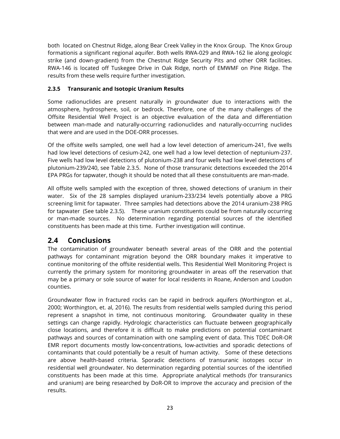both located on Chestnut Ridge, along Bear Creek Valley in the Knox Group. The Knox Group formationis a significant regional aquifer. Both wells RWA-029 and RWA-162 lie along geologic strike (and down-gradient) from the Chestnut Ridge Security Pits and other ORR facilities. RWA-146 is located off Tuskegee Drive in Oak Ridge, north of EMWMF on Pine Ridge. The results from these wells require further investigation.

#### <span id="page-29-0"></span>**2.3.5 Transuranic and Isotopic Uranium Results**

Some radionuclides are present naturally in groundwater due to interactions with the atmosphere, hydrosphere, soil, or bedrock. Therefore, one of the many challenges of the Offsite Residential Well Project is an objective evaluation of the data and differentiation between man-made and naturally-occurring radionuclides and naturally-occurring nuclides that were and are used in the DOE-ORR processes.

Of the offsite wells sampled, one well had a low level detection of americum-241, five wells had low level detections of cesium-242, one well had a low level detection of neptunium-237. Five wells had low level detections of plutonium-238 and four wells had low level detections of plutonium-239/240, see Table 2.3.5. None of those transuranic detections exceeded the 2014 EPA PRGs for tapwater, though it should be noted that all these constuituents are man-made.

All offsite wells sampled with the exception of three, showed detections of uranium in their water. Six of the 28 samples displayed uranium-233/234 levels potentially above a PRG screening limit for tapwater. Three samples had detections above the 2014 uranium-238 PRG for tapwater (See table 2.3.5). These uranium constituents could be from naturally occurring or man-made sources. No determination regarding potential sources of the identified constituents has been made at this time. Further investigation will continue.

## <span id="page-29-1"></span>**2.4 Conclusions**

The contamination of groundwater beneath several areas of the ORR and the potential pathways for contaminant migration beyond the ORR boundary makes it imperative to continue monitoring of the offsite residential wells. This Residential Well Monitoring Project is currently the primary system for monitoring groundwater in areas off the reservation that may be a primary or sole source of water for local residents in Roane, Anderson and Loudon counties.

Groundwater flow in fractured rocks can be rapid in bedrock aquifers (Worthington et al., 2000; Worthington, et. al, 2016). The results from residential wells sampled during this period represent a snapshot in time, not continuous monitoring. Groundwater quality in these settings can change rapidly. Hydrologic characteristics can fluctuate between geographically close locations, and therefore it is difficult to make predictions on potential contaminant pathways and sources of contamination with one sampling event of data. This TDEC DoR-OR EMR report documents mostly low-concentrations, low-activities and sporadic detections of contaminants that could potentially be a result of human activity. Some of these detections are above health-based criteria. Sporadic detections of transuranic isotopes occur in residential well groundwater. No determination regarding potential sources of the identified constituents has been made at this time. Appropriate analytical methods (for transuranics and uranium) are being researched by DoR-OR to improve the accuracy and precision of the results.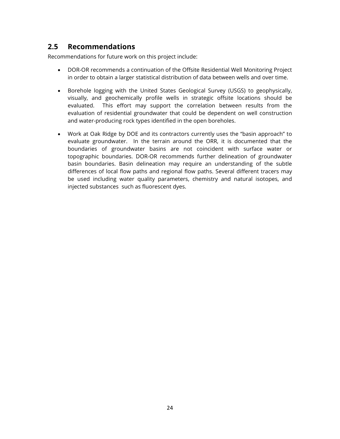## <span id="page-30-0"></span>**2.5 Recommendations**

Recommendations for future work on this project include:

- DOR-OR recommends a continuation of the Offsite Residential Well Monitoring Project in order to obtain a larger statistical distribution of data between wells and over time.
- Borehole logging with the United States Geological Survey (USGS) to geophysically, visually, and geochemically profile wells in strategic offsite locations should be evaluated. This effort may support the correlation between results from the evaluation of residential groundwater that could be dependent on well construction and water-producing rock types identified in the open boreholes.
- Work at Oak Ridge by DOE and its contractors currently uses the "basin approach" to evaluate groundwater. In the terrain around the ORR, it is documented that the boundaries of groundwater basins are not coincident with surface water or topographic boundaries. DOR-OR recommends further delineation of groundwater basin boundaries. Basin delineation may require an understanding of the subtle differences of local flow paths and regional flow paths. Several different tracers may be used including water quality parameters, chemistry and natural isotopes, and injected substances such as fluorescent dyes.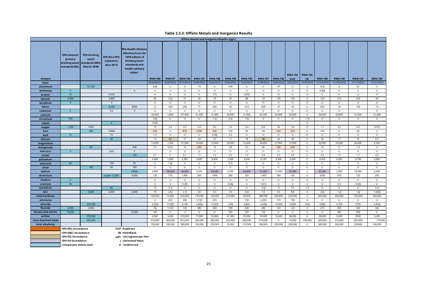#### **Table 2.3.3: Offsite Metals and Inorganics Results**

|                        | Offsite Metals and Inorganics Results (µg/L)    |                                                                                 |                                                 |                                                                                                                                        |                  |               |                |                |                |                |                |                |                |                |                |                |                |                 |                |
|------------------------|-------------------------------------------------|---------------------------------------------------------------------------------|-------------------------------------------------|----------------------------------------------------------------------------------------------------------------------------------------|------------------|---------------|----------------|----------------|----------------|----------------|----------------|----------------|----------------|----------------|----------------|----------------|----------------|-----------------|----------------|
|                        | <b>EPA national</b><br>primary<br>standards MCL | <b>EPA drinking</b><br>water<br>drinking water   standards SMCL<br>(March 2018) | <b>EPA RSLs PRG</b><br>(tapwater)<br>(Nov 2017) | <b>EPA Health Advisory</b><br>(lifetime) from the<br>"2018 edition of<br>drinking water<br>standards and<br>health advisory<br>tables" |                  |               |                |                |                |                |                |                |                | <b>RWA-152</b> | <b>RWA-152</b> |                |                |                 |                |
| Analyte                |                                                 |                                                                                 |                                                 |                                                                                                                                        | <b>RWA-106</b>   | <b>RWA-97</b> | <b>RWA-146</b> | <b>RWA-147</b> | <b>RWA-148</b> | <b>RWA-149</b> | <b>RWA-150</b> | <b>RWA-151</b> | <b>RWA-152</b> | <b>DUP</b>     | FB             | <b>RWA-159</b> | <b>RWA-139</b> | <b>RWA-142</b>  | <b>RWA-100</b> |
| Date                   |                                                 |                                                                                 |                                                 |                                                                                                                                        | 8/23/2016        | 8/29/2016     | 9/19/2016      | 9/20/2016      | 9/22/2016      | 9/26/2016      | 9/27/2016      | 9/28/2016      | 10/5/2016      | 10/5/2016      | 10/5/2016      | 11/14/2016     | 11/16/2016     | 11/17/2016      | 11/21/2016     |
| aluminum               |                                                 | 50-200                                                                          |                                                 |                                                                                                                                        | 8.8              | U             | U              | 19             | U              | 140            | U              | U              | 37             | U              | U              | 8.5            | U              | 52              | U              |
| antimony               | 6                                               |                                                                                 |                                                 | 6                                                                                                                                      | U                | U             | U              | U              | U              | U              | U              | U              | U              | U              | U              | 0.60           | U              | U               | U              |
| arsenic                | 10 <sup>°</sup>                                 |                                                                                 | 0.052                                           |                                                                                                                                        | U                | U             | U              | U              | 3.7            | U              | 0.95           | U              | U              | U              | U              | U              | U              | U               | U              |
| barium                 | 2,000                                           |                                                                                 | 3,800                                           |                                                                                                                                        | 89               | 3.3           | 51             | 26             | 19             | 35             | 88             | 32             | 130            | 130            | U              | 120            | 210            | 310             | 69             |
| beryllium              | $\overline{4}$                                  |                                                                                 | $\overline{4}$                                  |                                                                                                                                        | U                | U             | U              | U              | U              | U              | U              | U              | U              | U              | U              | U              | U              | U               | U              |
| boron                  |                                                 |                                                                                 | 4,000                                           | 6000                                                                                                                                   | 12               | 340           | 290            | 71             | 290            | 42             | 310            | 200            | 37             | 35             | U              | 250            | 34             | 150             | 15             |
| cadmium                | -5                                              |                                                                                 | 9.2                                             | -5                                                                                                                                     | U                | U             | U              | U              | U              | U              | U              | U              | U              | U              | U              | U              | U              |                 | U              |
| calcium                |                                                 |                                                                                 |                                                 |                                                                                                                                        | 43,000           | 1,800         | 97,000         | 41,000         | 31,000         | 59,000         | 21,000         | 87,000         | 50,000         | 50,000         | U              | 39,000         | 43,000         | 51,000          | 51,000         |
| chromium               | 100                                             |                                                                                 |                                                 |                                                                                                                                        | 3.0 <sub>l</sub> | U             | U              | U              | 1.2            | 2.2            | 1.9            | U              | U              | U              | 1.7            | U              | U              | U               | U              |
| cobalt                 |                                                 |                                                                                 | 6                                               |                                                                                                                                        | 0.32             |               |                |                |                |                |                |                |                |                | U              |                |                |                 |                |
| copper                 | 1,300                                           | 1000                                                                            |                                                 |                                                                                                                                        | 15               | 2.6           | 3.2            | 2.0            | 3.0            | 14             | 2.4            | 6.8            | 20             | 18             | U              | 1.7            | 2.5            | 4.0             | 0.97           |
| iron                   |                                                 | 300                                                                             | 14000                                           |                                                                                                                                        | 470              | U             | 870            | 6100           | 350            | 150            | 49             | 94             | 310            | 310            | U              | 130            | U              | 28              | U              |
| lead                   | 15 <sub>1</sub>                                 |                                                                                 | 15                                              |                                                                                                                                        | 1.5              | $\cup$        | U              | U              | 0.28           | 5.3            | $\cup$         | U              | U              | U              | U              | U              | U              | U               | U              |
| lithium                |                                                 |                                                                                 | 40                                              |                                                                                                                                        | 10               | 52            | 37             | 24             | 23             | 11             | 18             | 48             | 24             | 39             | U              | 39             | 17             | 10 <sup>°</sup> | 6.5            |
| magnesium              |                                                 |                                                                                 |                                                 |                                                                                                                                        | 13,000           | 1,300         | 91,000         | 16,000         | 12,000         | 30,000         | 12,000         | 40,000         | 27,000         | 27,000         | U              | 32,000         | 23,000         | 26,000          | 5,200          |
| manganese              |                                                 | 50                                                                              |                                                 | 300                                                                                                                                    | 14               | 0.51          | 16             | 220            | 19             | 3.8            | 5.5            | 46             | 230            | 220            | U              | 10             | U              | 1.4             | U              |
| mercury                | $\overline{2}$                                  |                                                                                 | 0.63                                            | $\overline{2}$                                                                                                                         |                  | U             | U              | U              | U              | U              | U              | U              | U              | U              | U              | U              | U              | U               | U              |
| nickel                 |                                                 |                                                                                 |                                                 | 100                                                                                                                                    | 2.7              | U             | 6.1            | 17             | 1.2            | 2.2            | 1.0            | 2.9            | 3.3            | 2.3            | U              | 2.3            | 1.5            | 1.7             | 4.5            |
| potassium              |                                                 |                                                                                 |                                                 |                                                                                                                                        | 2,400            | 1,600         | 5,300          | 3,600          | 5,600          | 1,500          | 3,500          | 3,100          | 3,300          | 3,200          | U              | 3,200          | 2,900          | 3,700           | 2,000          |
| selenium               | 50                                              |                                                                                 | 100                                             | 50                                                                                                                                     | U                | 1.6           | U              | U              | U              | 3.7            | U              | U              | U              | U              | U              | U              | U              | $\cup$          | U              |
| silver                 |                                                 | 100                                                                             | 94                                              | 100                                                                                                                                    | U                | $\cup$        | U              | U              | U              | U              | U              | U              | U              | U              | U              | U              | U              | U               | U              |
| sodium                 |                                                 |                                                                                 |                                                 | 20000                                                                                                                                  | 2,800            | 190,000       | 30,000         | 9,200          | 94,000         | 6,300          | 64,000         | 21,000         | 13,000         | 37,000         | U              | 37,000         | 2,900          | 18,000          | 2,600          |
| strontium              |                                                 |                                                                                 | stable 12,000                                   | 4,000                                                                                                                                  | 120              | 130           | 1,800          | 260            | 1400           | 260            | 320            | 1,400          | 180            | 160            | U              | 4200           | 530            | 120             | 250            |
| thalium                | $2^{\circ}$                                     |                                                                                 |                                                 |                                                                                                                                        | U                | U             | U              | U              | U              | U              | $\cup$         | U              | U              | U              | U              | U              | U              | $\cup$          | U              |
| uranium                | 30 <sup>°</sup>                                 |                                                                                 |                                                 |                                                                                                                                        | U                | U             | 0.29           | U              | U              | 0.46           | U              | 0.61           | U              | U              | U              | U              | 3.5            | 0.66            | U              |
| vanadium               |                                                 |                                                                                 | 86                                              |                                                                                                                                        | 10               | 3.1           | U              | U              | U              | U              | U              | 3.5j           | 11             | 10             | 14             | U              | U              | U               | 3.1            |
| zinc                   |                                                 | 5,000                                                                           | 6,000                                           | 2,000                                                                                                                                  | 70               | 2.6           | 2.1            | 20             | 9.3            | 33             | 4.0            | 7.3            | 9.5            | 8.8            | U              | $4.4$ j        | 1.2            | 1.6             | 1,600J         |
| total hardness         |                                                 |                                                                                 |                                                 |                                                                                                                                        | 160,000          | 10,000        | 620,000        | 170,000        | 120,000        | 270,000        | 99,000         | 380,000        | 240,000        | 240,000        | U              | 200,000        | 200,000        | 150,000         | 180,000        |
| ammonia                |                                                 |                                                                                 |                                                 |                                                                                                                                        | U                | 220           | 200            | 1,100          | 610            |                | 150            | 2,200          | 170            | 190            | U              | U              | U              | U               | U              |
| chloride               |                                                 | 250,000                                                                         |                                                 |                                                                                                                                        | 2,000            | 77,000        | 3,100          | 1,800J         | 17,000         | <b>220J</b>    | 2,800          | 2,000          | 15,000         | 15000          | 950            | <b>2200J</b>   | 3,700          | 2700            | 2,000          |
| fluoride               | 4,000                                           | 2,000                                                                           |                                                 |                                                                                                                                        | 74               | 1,100         | 130            | 380            | 320            | 180            | 440            | 280            | 120            | 120            | U              | 270            | 450            | 320             | 60             |
| nitrate and nitrite    | 10,000                                          |                                                                                 |                                                 | 10,000                                                                                                                                 | 160              | U             | U              | U              | U              | 700            | 370            | 150            | U              | U              | U              | U              | 450            | 330             | U              |
| sulfate                |                                                 | 250,000                                                                         |                                                 |                                                                                                                                        | 4,500            | 3,200         | 270,000        | 71,000         | 93,000         | 41,000         | 29,000         | 99,000         | 16,000         | 38,000         | U              | 38,000         | 5,400          | 3500            | 3,200          |
| total dissolved solids |                                                 | 500,000                                                                         |                                                 |                                                                                                                                        | 210,000          | 460,000       | 810,000        | 260,000        | 390,000        | 220,000        | 260,000        | 470,000        | U              | 16,000         | 290,000        | 320,000        | 210,000        | 250,000         | 170,000        |
| total alkalinity       |                                                 |                                                                                 |                                                 |                                                                                                                                        | 150,000          | 290,000       | 380,000        | 130,000        | 230,000        | 10,000         | 210,000        | 300,000        | 230,000        | 230,000        | U              | 260,000        | 200,000        | 230000          | 140,000        |
|                        | <b>EPA MCL Exceedance</b>                       |                                                                                 |                                                 | <b>DUP</b> -Duplicate                                                                                                                  |                  |               |                |                |                |                |                |                |                |                |                |                |                |                 |                |
|                        | <b>EPA SMCL Exceedance</b>                      |                                                                                 |                                                 | <b>FB</b> -Field Blank                                                                                                                 |                  |               |                |                |                |                |                |                |                |                |                |                |                |                 |                |
|                        | <b>EPA RSL Exceedance</b>                       |                                                                                 |                                                 | µg/L - micrograms per liter                                                                                                            |                  |               |                |                |                |                |                |                |                |                |                |                |                |                 |                |
|                        | <b>EPA HA Exceedance</b>                        |                                                                                 |                                                 | J - Estimated Value                                                                                                                    |                  |               |                |                |                |                |                |                |                |                |                |                |                |                 |                |

**- Comparison Values used U - Undetected**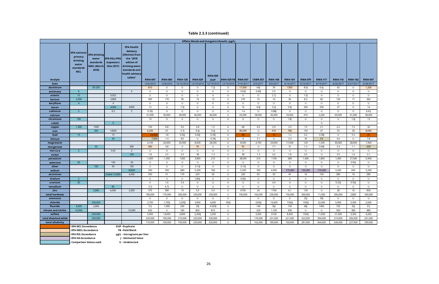#### **Table 2.3.3 (continued)**

|                        | Offsite Metals and Inorganics Results (µg/L)                                   |                                                                   |                                                 |                                                                                                                                                     |                |                |                |                |                |                           |           |                 |                 |                |                |                |                |                |                |
|------------------------|--------------------------------------------------------------------------------|-------------------------------------------------------------------|-------------------------------------------------|-----------------------------------------------------------------------------------------------------------------------------------------------------|----------------|----------------|----------------|----------------|----------------|---------------------------|-----------|-----------------|-----------------|----------------|----------------|----------------|----------------|----------------|----------------|
|                        | <b>EPA</b> national<br>primary<br>drinking<br>water<br>standards<br><b>MCL</b> | <b>EPA drinking</b><br>water<br>standards<br>SMCL (March<br>2018) | <b>EPA RSLs PRG</b><br>(tapwater)<br>(Nov 2017) | <b>EPA Health</b><br><b>Advisory</b><br>(lifetime) from<br>the "2018<br>edition of<br>drinking water<br>standards and<br>health advisory<br>tables" |                |                |                |                | <b>RWA-029</b> |                           |           |                 |                 |                |                |                |                |                |                |
| Analyte                |                                                                                |                                                                   |                                                 |                                                                                                                                                     | <b>RWA-047</b> | <b>RWA-060</b> | <b>RWA-128</b> | <b>RWA-029</b> | <b>DUP</b>     | <b>RWA-029 FB</b> RWA-047 |           | <b>CRBR-057</b> | <b>RWA-160</b>  | <b>RWA-161</b> | <b>RWA-079</b> | <b>RWA-117</b> | <b>RWA-116</b> | <b>RWA-162</b> | <b>RWA-047</b> |
| <b>Date</b>            |                                                                                |                                                                   |                                                 |                                                                                                                                                     | 12/6/2016      | 12/8/2016      | 12/14/2016     | 12/19/2016     | 12/19/2016     | 12/19/2016                | 2/16/2017 | 6/5/2017        | 6/6/2017        | 6/14/2017      | 6/15/2017      | 6/19/2017      | 6/26/2017      | 6/27/2017      | 6/28/2017      |
| aluminum               |                                                                                | 50-200                                                            |                                                 |                                                                                                                                                     | 810            | U              | U              | U              | 7.2            | U                         | 17,000    | 4.8             | 30              | 1300           | 8.0            | 6.6            | 42             | U              | 1,200          |
| antimony               | 6                                                                              |                                                                   |                                                 | 6                                                                                                                                                   | U              | U              | U              | U              | U              | $\cup$                    | 0.63      | 0.60            | 2.5             | U              | U              | U              | U              | U              | U              |
| arsenic                | 10                                                                             |                                                                   | 0.052                                           |                                                                                                                                                     | U              | U              | U              | U              | U              | U                         | U         | U               | 2.1             | U              | 1.0            | U              | U              | U              | U              |
| barium                 | 2,000                                                                          |                                                                   | 3,800                                           |                                                                                                                                                     | 300            | 170            | 90             | 14             | 13             | U                         | 270       | 10 <sup>°</sup> | 14              | 36             | 8.3            | 60             | 120            | 17             | 360            |
| beryllium              | $\overline{4}$                                                                 |                                                                   | $\overline{4}$                                  |                                                                                                                                                     | U              | U              | U              | U              | U              | U                         | U         | U               | U               | U              | U              | U              | U              | U              | U              |
| boron                  |                                                                                |                                                                   | 4,000                                           | 6000                                                                                                                                                | 12             | U              | 7.3            | U              | U              | U                         | 16        | 4.9             | 3.2             | 5.9            | 320            | 550            | 27             | U              | 14             |
| cadmium                | $5\phantom{.}$                                                                 |                                                                   | 9.2                                             | 5                                                                                                                                                   | 0.33           | U              | U              | U              | U              | U                         | 1.4       | U               | 0.88            | U              | U              | U              | U              | U              | 0.41           |
| calcium                |                                                                                |                                                                   |                                                 |                                                                                                                                                     | 61,000         | 36,000         | 49,000         | 46,000         | 46,000         | U                         | 65,000    | 58,000          | 45,000          | 33,000         | 410            | 2,200          | 69,000         | 41,000         | 58,000         |
| chromium               | 100                                                                            |                                                                   |                                                 |                                                                                                                                                     | 10             | U              | U              | U              | U              | U                         | U         | U               | U               | 1.8            | U              | U              | U              | 1.6            | 13             |
| cobalt                 |                                                                                |                                                                   | $6\overline{6}$                                 |                                                                                                                                                     |                |                |                |                |                |                           |           |                 |                 |                |                | U              |                |                |                |
| copper                 | 1,300                                                                          | 1000                                                              |                                                 |                                                                                                                                                     | 150            | 6.8            | 3.0            | 2.8            | 1.5            | U                         | 68        | 4.5             | 2.9             | 3.3            | 13             | 3.1            | 2.2            | 7.2            | 32             |
| iron                   |                                                                                | 300                                                               | 14000                                           |                                                                                                                                                     | 6,200          | 67             | 5.7            | 9.4            | 9.4            | U                         | 80,000    | U               | 410             | 780            | 150            | 47             | 55             | 39             | 8,500          |
| lead                   | 15                                                                             |                                                                   | 15                                              |                                                                                                                                                     | 24,000         | 1.8            | 0.56           | 0.40           | 0.39           | U                         | 98        | U               | 15 <sub>1</sub> | 1.2            | 3.2            | 0.38           | U              | 5.5            | 41             |
| lithium                |                                                                                |                                                                   | 40                                              |                                                                                                                                                     | 7,900          | 1.4            | 8.0            | U              | 0.34           | U                         | 9         | 3.1             | $\cup$          | 2.4            | 34             | 63             | 4.6            | U              | 7.8            |
| magnesium              |                                                                                |                                                                   |                                                 |                                                                                                                                                     | 6,100          | 20,000         | 20,000         | 8,000          | 28,000         | U                         | 8,000     | 3,700           | 29,000          | 17,000         | 120            | 1,500          | 30,000         | 28,000         | 7,300          |
| manganese              |                                                                                | 50                                                                |                                                 | 300                                                                                                                                                 | 580            | 4.8            | U              | 95             | U              | U                         | 95        | U               | 7.7             | 31             | 1.3            | 0.68           | 3.3            | 1.1            | 630            |
| mercury                | $\overline{2}$                                                                 |                                                                   | 0.63                                            | $\overline{2}$                                                                                                                                      | U              | U              | U              | U              | U              | U                         | U         | U               | U               | U              | U              | U              | U              | U              | U              |
| nickel                 |                                                                                |                                                                   |                                                 | 100                                                                                                                                                 | 1.8            | 2.5            | 2.5            | 38             | 1.3            | U                         | 38        | 1.3             | 4.2             | 1.8            | 3.5            | U              | 3.5            | 1.6            | 5.1            |
| potassium              |                                                                                |                                                                   |                                                 |                                                                                                                                                     | 1,000          | 1,300          | 1300           | 3,800          | 210            | U                         | 38,000    | 210             | 1100            | 680            | 1,400          | 1,800          | 1,400          | 27,000         | 6,900          |
| selenium               | 50                                                                             |                                                                   | 100                                             | 50                                                                                                                                                  | U              | U              | U              | U              | U              | U                         | U         | U               | U               | U              | U              | U              | U              | 0.92           | U              |
| silver                 |                                                                                | 100                                                               | 94                                              | 100                                                                                                                                                 | U              | U              | U              | 0.13           | $\cup$         | U                         | 0.13      | $\cup$          | U               | U              | $\cup$         | U              | U              | U              | U              |
| sodium                 |                                                                                |                                                                   |                                                 | 20000                                                                                                                                               | 350            | 350            | 680            | 5,200          | 760            | U                         | 5,200     | 760             | 4,900           | 170,000        | 130,000        | 170,000        | 5,200          | 690            | 5,200          |
| strontium              |                                                                                |                                                                   | stable 12,000                                   | 4,000                                                                                                                                               | 250            | 51             | 170            | 220            | 65             | U                         | 220       | 65              | 20              | 45             | 16             | 150            | 280            | 16             | 280            |
| thalium                | $\overline{2}$                                                                 |                                                                   |                                                 |                                                                                                                                                     | U              | U              | U              | 0.85           | U              | U                         | 0.85      | U               | U               | U              | U              | U              | U              | U              | U              |
| uranium                | 30                                                                             |                                                                   |                                                 |                                                                                                                                                     | U              | 1.6            | 3.4            | U              | U              | U                         | U         | U               | 4.4             | U              | U              | U              | 0.23           | 0.56           | U              |
| vanadium               |                                                                                |                                                                   | 86                                              |                                                                                                                                                     | 3.1            | 4.7            | U              | U              | U              | U                         | U         | U               | U               | U              | U              | U              | U              | U              | U              |
| zinc                   |                                                                                | 5,000                                                             | 6,000                                           | 2,000                                                                                                                                               | 370            | 580            | 19             | 5.9            | 5.9            | U                         | 6700      | 24              | 1700            | 6.1            | 130            | U              | 28             | 16             | 830            |
| total hardness         |                                                                                |                                                                   |                                                 |                                                                                                                                                     | 180,000        | 170,000        | 200,000        | 230,000        | 230,000        | U                         | 190,000   | 160,000         | 230,000         | 150,000        | 300,000        | 11,000         | 300,000        | 2,800          | 180,000        |
| ammonia                |                                                                                |                                                                   |                                                 |                                                                                                                                                     | U              | U              | U              | U              | U              | U                         |           | U               | $\mathbf{U}$    | U              | 251            | 391            | U              | $\cup$         | U              |
| chloride               |                                                                                | 250,000                                                           |                                                 |                                                                                                                                                     | 2,700          | 1,700J         | 2,200          | 3,900          | 4,000          | <b>950J</b>               |           | <b>2200J</b>    | 14,000          | 1500J          | 1500           | 22,000         | 5,900          | 3,300          | 2,600          |
| fluoride               | 4,000                                                                          | 2,000                                                             |                                                 |                                                                                                                                                     | 51J            | 1,900          | 200            | 29J            | 0.029          | U                         |           | 140             | 36J             | 150            | 68J            | 1400           | 720            | 32J            | 51J            |
| nitrate and nitrite    | 10,000                                                                         |                                                                   |                                                 | 10,000                                                                                                                                              | 620            | U              | 180            | 820            | 810            | U                         |           | 220             | 1,100           | 390            | U              | U              | 560            | 380            | 480            |
| sulfate                |                                                                                | 250,000                                                           |                                                 |                                                                                                                                                     | 3,900          | 14,000         | 4,800          | 2,200J         | 2,200          | $\cup$                    |           | 3,300           | 6100            | 8,400          | 1500           | 11,000         | 51,000         | 3,300          | 4,200          |
| total dissolved solids |                                                                                | 500,000                                                           |                                                 |                                                                                                                                                     | 220,000        | 190,000        | 210,000        | 220,000        | 230,000        | $\sf U$                   |           | 176,000         | 231,000         | 221,000        | 322,000        | 394,000        | 319,000        | 206,000        | 241,000        |
| total alkalinity       |                                                                                |                                                                   |                                                 |                                                                                                                                                     | 170,000        | 160,000        | 190,000        | 220,000        | 220,000        | U                         |           | 162,000         | 189,000         | 160,000        | 281,000        | 364,000        | 240,000        | 227,000        | 189,000        |
|                        | <b>EPA MCL Exceedance</b>                                                      |                                                                   |                                                 | <b>DUP</b> -Duplicate                                                                                                                               |                |                |                |                |                |                           |           |                 |                 |                |                |                |                |                |                |
|                        | <b>EPA SMCL Exceedance</b>                                                     |                                                                   |                                                 | FB-Field Blank                                                                                                                                      |                |                |                |                |                |                           |           |                 |                 |                |                |                |                |                |                |
|                        | <b>EPA RSL Exceedance</b>                                                      |                                                                   |                                                 | µg/L - micrograms per liter                                                                                                                         |                |                |                |                |                |                           |           |                 |                 |                |                |                |                |                |                |
|                        | <b>EPA HA Exceedance</b>                                                       |                                                                   |                                                 | J - Estimated Value                                                                                                                                 |                |                |                |                |                |                           |           |                 |                 |                |                |                |                |                |                |

**- Comparison Values used U - Undetected**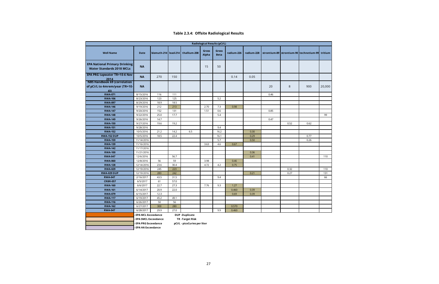

#### **Table 2.3.4: Offsite Radiological Results**

|                                                                             |                            |      |      |                                   |                       | <b>Radiological Results (pCi/L)</b> |            |            |      |      |                                                       |        |
|-----------------------------------------------------------------------------|----------------------------|------|------|-----------------------------------|-----------------------|-------------------------------------|------------|------------|------|------|-------------------------------------------------------|--------|
| <b>Well Name</b>                                                            | <b>Date</b>                |      |      | bismuth-214 lead-214 thallium-208 | <b>Gross</b><br>Alpha | Gross<br><b>Beta</b>                | radium-226 | radium-228 |      |      | strontium-89   strontium-90   technetium-99   tritium |        |
| <b>EPA National Primary Drinking</b><br><b>Water Standards 2018 MCLs</b>    | <b>NA</b>                  |      |      |                                   | 15                    | 50                                  |            |            |      |      |                                                       |        |
| <b>EPA PRG tapwater TR=1E-6 Nov</b><br>2014                                 | <b>NA</b>                  | 270  | 150  |                                   |                       |                                     | 0.14       | 0.05       |      |      |                                                       |        |
| <b>NBS Handbook 69 (correlation</b><br>of pCi/L to 4mrem/year (TR=1E-<br>4) | <b>NA</b>                  |      |      |                                   |                       |                                     |            |            | 20   | 8    | 900                                                   | 20,000 |
| <b>RWA-071</b>                                                              | 8/15/2016                  | 116  | 111  |                                   |                       |                                     |            |            | 0.46 |      |                                                       |        |
| <b>RWA-106</b>                                                              | 8/23/2016                  | 123  | 125  |                                   |                       | 5.2                                 |            |            |      |      |                                                       |        |
| <b>RWA-097</b>                                                              | 8/29/2016                  | 18.9 | 18.5 |                                   |                       |                                     |            |            |      |      |                                                       |        |
| <b>RWA-146</b>                                                              | 9/19/2016                  | 212  | 213  |                                   | 2.70                  | 7.3                                 | 0.98       |            |      |      |                                                       |        |
| <b>RWA-147</b>                                                              | 9/20/2016                  | 152  | 131  |                                   | 1.51                  | 0.6                                 |            |            | 0.85 |      |                                                       |        |
| <b>RWA-148</b>                                                              | 9/22/2016                  | 25.0 | 17.7 |                                   |                       | 5.4                                 |            |            |      |      |                                                       | 99     |
| <b>RWA-149</b>                                                              | 9/26/2016                  | 14.7 |      |                                   |                       |                                     |            |            | 0.47 |      |                                                       |        |
| <b>RWA-150</b>                                                              | 9/27/2016                  | 19.6 | 19.2 |                                   |                       |                                     |            |            |      | 0.52 | 0.62                                                  |        |
| <b>RWA-151</b>                                                              | 9/28/2016                  |      |      |                                   |                       | 9.4                                 |            |            |      |      |                                                       |        |
| <b>RWA-152</b>                                                              | 10/5/2016                  | 21.2 | 14.2 | 6.5                               |                       | 16.2                                |            | 0.30       |      |      |                                                       |        |
| <b>RWA-152 DUP</b>                                                          | 10/5/2016                  | 18.5 | 22.4 |                                   |                       | 16.1                                |            | 0.29       |      |      | 0.77                                                  |        |
| <b>RWA-159</b>                                                              | 11/14/2016                 |      |      |                                   |                       | 5.7                                 |            | 0.50       |      |      | 0.26                                                  |        |
| <b>RWA-139</b>                                                              | 11/16/2016                 |      |      |                                   | 3.63                  | 4.6                                 | 0.67       |            |      |      |                                                       |        |
| <b>RWA-142</b>                                                              | 11/17/2016                 |      |      |                                   |                       |                                     |            |            |      |      |                                                       |        |
| <b>RWA-100</b>                                                              | 11/21/2016                 |      |      |                                   |                       |                                     |            | 0.36       |      |      |                                                       |        |
| <b>RWA-047</b>                                                              | 12/6/2016                  |      | 56.7 |                                   |                       |                                     |            | 0.41       |      |      |                                                       | 110    |
| <b>RWA-060</b>                                                              | 12/8/2016                  | 56   | 59   |                                   | 3.98                  |                                     | 0.46       |            |      |      |                                                       |        |
| <b>RWA-128</b>                                                              | 12/14/2016                 | 23.6 | 30.4 |                                   | 4.72                  | 4.2                                 | 0.75       |            |      |      |                                                       |        |
| <b>RWA-029</b>                                                              | 12/19/2016                 | 245  | 223  |                                   |                       |                                     |            |            |      | 0.32 |                                                       | 110    |
| <b>RWA-029 DUP</b>                                                          | 12/19/2016                 | 283  | 242  |                                   |                       |                                     |            | 0.21       |      | 0.27 |                                                       | 131    |
| <b>RWA-047</b>                                                              | 2/16/2017                  | 43.5 | 31.5 |                                   |                       | 9.4                                 |            |            |      |      |                                                       | 66     |
| <b>CRBR-057</b>                                                             | 6/5/2017                   | 61   | 57.0 |                                   |                       |                                     |            |            |      |      |                                                       |        |
| <b>RWA-160</b>                                                              | 6/6/2017                   | 22.7 | 27.3 |                                   | 7.76                  | 9.3                                 | 1.27       |            |      |      |                                                       |        |
| <b>RWA-161</b>                                                              | 6/14/2017                  | 20.9 | 22.0 |                                   |                       |                                     | 0.460      | 0.39       |      |      |                                                       |        |
| <b>RWA-079</b>                                                              | 6/15/2017                  | 12.3 |      |                                   |                       |                                     | 0.69       | 0.39       |      |      |                                                       |        |
| <b>RWA-117</b>                                                              | 6/19/2017                  | 45.2 | 49.1 |                                   |                       |                                     |            |            |      |      |                                                       |        |
| <b>RWA-116</b>                                                              | 6/26/2017                  | 50   | 56   |                                   |                       |                                     |            |            |      |      |                                                       |        |
| <b>RWA-162</b>                                                              | 6/27/2017                  | 300  | 280  |                                   |                       |                                     | 0.570      |            |      |      |                                                       |        |
| <b>RWA-047</b>                                                              | 6/28/2017                  | 29.9 | 27.0 |                                   |                       | 9.9                                 | 0.460      |            |      |      |                                                       |        |
|                                                                             | <b>EPA MCL Exceedance</b>  |      |      | <b>DUP</b> -Duplicate             |                       |                                     |            |            |      |      |                                                       |        |
|                                                                             | <b>EPA SMCL Exceedance</b> |      |      | <b>TR -Target Risk</b>            |                       |                                     |            |            |      |      |                                                       |        |
|                                                                             | <b>EPA PRG Exceedance</b>  |      |      | pCi/L - picoCuries per liter      |                       |                                     |            |            |      |      |                                                       |        |
|                                                                             | <b>EPA HA Exceedance</b>   |      |      |                                   |                       |                                     |            |            |      |      |                                                       |        |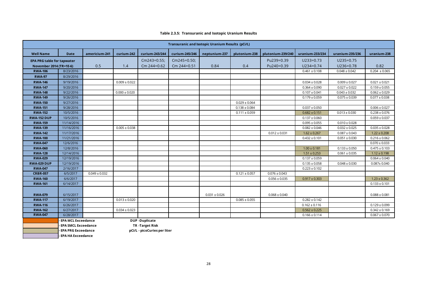#### **Table 2.3.5: Transuranic and Isotopic Uranium Results**

|                                   | <b>Transuranic and Isotopic Uranium Results (pCi/L)</b> |                   |                   |                              |                |                   |                   |                   |                   |                   |                   |  |  |
|-----------------------------------|---------------------------------------------------------|-------------------|-------------------|------------------------------|----------------|-------------------|-------------------|-------------------|-------------------|-------------------|-------------------|--|--|
| <b>Well Name</b>                  | <b>Date</b>                                             | americium-241     | curium-242        | curium-243/244               | curium-245/246 | neptunium-237     | plutonium-238     | plutonium-239/240 | uranium-233/234   | uranium-235/236   | uranium-238       |  |  |
| <b>EPA PRG table for tapwater</b> |                                                         |                   |                   | Cm243=0.55;                  | Cm245=0.50;    |                   |                   | Pu239=0.39        | $U233=0.73$       | $U235=0.75$       |                   |  |  |
| <b>November 2014 (TR=1E-6)</b>    |                                                         | 0.5               | 1.4               | Cm 244=0.62                  | Cm 244=0.51    | 0.84              | 0.4               | Pu240=0.39        | $U234=0.74$       | U236=0.78         | 0.82              |  |  |
| <b>RWA-106</b>                    | 8/23/2016                                               |                   |                   |                              |                |                   |                   |                   | $0.461 \pm 0.108$ | $0.048 \pm 0.042$ | $0.204 \pm 0.065$ |  |  |
| <b>RWA-97</b>                     | 8/29/2016                                               |                   |                   |                              |                |                   |                   |                   |                   |                   |                   |  |  |
| <b>RWA-146</b>                    | 9/19/2016                                               |                   | $0.009 \pm 0.022$ |                              |                |                   |                   |                   | $0.034 \pm 0.028$ | $0.009 \pm 0.027$ | $0.021 \pm 0.021$ |  |  |
| <b>RWA-147</b>                    | 9/20/2016                                               |                   |                   |                              |                |                   |                   |                   | $0.364 \pm 0.090$ | $0.027 \pm 0.022$ | $0.159 \pm 0.055$ |  |  |
| <b>RWA-148</b>                    | 9/22/2016                                               |                   | $0.000 \pm 0.020$ |                              |                |                   |                   |                   | $0.107 \pm 0.041$ | $0.043 \pm 0.032$ | $0.062 \pm 0.029$ |  |  |
| <b>RWA-149</b>                    | 9/26/2016                                               |                   |                   |                              |                |                   |                   |                   | $0.179 \pm 0.059$ | $0.075 \pm 0.039$ | $0.077 \pm 0.038$ |  |  |
| <b>RWA-150</b>                    | 9/27/2016                                               |                   |                   |                              |                |                   | $0.029 \pm 0.064$ |                   |                   |                   |                   |  |  |
| <b>RWA-151</b>                    | 9/28/2016                                               |                   |                   |                              |                |                   | $0.138 \pm 0.084$ |                   | $0.037 \pm 0.050$ |                   | $0.006 \pm 0.027$ |  |  |
| <b>RWA-152</b>                    | 10/5/2016                                               |                   |                   |                              |                |                   | $0.111 \pm 0.059$ |                   | $0.682 \pm 0.151$ | $0.013 \pm 0.030$ | $0.238 \pm 0.076$ |  |  |
| <b>RWA-152 DUP</b>                | 10/5/2016                                               |                   |                   |                              |                |                   |                   |                   | $0.137 \pm 0.060$ |                   | $0.059 \pm 0.037$ |  |  |
| <b>RWA-159</b>                    | 11/14/2016                                              |                   |                   |                              |                |                   |                   |                   | $0.095 \pm 0.055$ | $0.010 \pm 0.028$ |                   |  |  |
| <b>RWA-139</b>                    | 11/16/2016                                              |                   | $0.005 \pm 0.038$ |                              |                |                   |                   |                   | $0.082 \pm 0.046$ | $0.032 \pm 0.025$ | $0.035 \pm 0.028$ |  |  |
| <b>RWA-142</b>                    | 11/17/2016                                              |                   |                   |                              |                |                   |                   | $0.012 \pm 0.031$ | $1.62 \pm 0.267$  | $0.087 \pm 0.043$ | $1.22 \pm 0.208$  |  |  |
| <b>RWA-100</b>                    | 11/21/2016                                              |                   |                   |                              |                |                   |                   |                   | $0.432 \pm 0.101$ | $0.051 \pm 0.030$ | $0.216 \pm 0.062$ |  |  |
| <b>RWA-047</b>                    | 12/6/2016                                               |                   |                   |                              |                |                   |                   |                   |                   |                   | $0.070 \pm 0.033$ |  |  |
| <b>RWA-060</b>                    | 12/8/2016                                               |                   |                   |                              |                |                   |                   |                   | $1.00 \pm 0.181$  | $0.133 \pm 0.050$ | $0.475 \pm 0.103$ |  |  |
| <b>RWA-128</b>                    | 12/14/2016                                              |                   |                   |                              |                |                   |                   |                   | $1.51 \pm 0.253$  | $0.061 \pm 0.035$ | $1.12 \pm 0.198$  |  |  |
| <b>RWA-029</b>                    | 12/19/2016                                              |                   |                   |                              |                |                   |                   |                   | $0.137 \pm 0.059$ |                   | $0.064 \pm 0.040$ |  |  |
| <b>RWA-029 DUP</b>                | 12/19/2016                                              |                   |                   |                              |                |                   |                   |                   | $0.135 \pm 0.058$ | $0.048 \pm 0.030$ | $0.087 \pm 0.040$ |  |  |
| <b>RWA-047</b>                    | 2/16/2017                                               |                   |                   |                              |                |                   |                   |                   | $0.223 \pm 0.102$ |                   |                   |  |  |
| <b>CRBR-057</b>                   | 6/5/2017                                                | $0.049 \pm 0.032$ |                   |                              |                |                   | $0.121 \pm 0.057$ | $0.076 \pm 0.043$ |                   |                   |                   |  |  |
| <b>RWA-160</b>                    | 6/6/2017                                                |                   |                   |                              |                |                   |                   | $0.056 \pm 0.035$ | $0.917 \pm 0.303$ |                   | $1.23 \pm 0.362$  |  |  |
| <b>RWA-161</b>                    | 6/14/2017                                               |                   |                   |                              |                |                   |                   |                   |                   |                   | $0.133 \pm 0.101$ |  |  |
|                                   |                                                         |                   |                   |                              |                |                   |                   |                   |                   |                   |                   |  |  |
| <b>RWA-079</b>                    | 6/15/2017                                               |                   |                   |                              |                | $0.031 \pm 0.026$ |                   | $0.068 \pm 0.040$ |                   |                   | $0.088 \pm 0.081$ |  |  |
| <b>RWA-117</b>                    | 6/19/2017                                               |                   | $0.013 \pm 0.020$ |                              |                |                   | $0.085 \pm 0.055$ |                   | $0.282 \pm 0.142$ |                   |                   |  |  |
| <b>RWA-116</b>                    | 6/26/2017                                               |                   |                   |                              |                |                   |                   |                   | $0.162 \pm 0.116$ |                   | $0.129 \pm 0.099$ |  |  |
| <b>RWA-162</b>                    | 6/27/2017                                               |                   | $0.034 \pm 0.023$ |                              |                |                   |                   |                   | $0.562 \pm 0.225$ |                   | $0.342 \pm 0.169$ |  |  |
| <b>RWA-047</b>                    | 6/28/2017                                               |                   |                   |                              |                |                   |                   |                   | $0.166 \pm 0.114$ |                   | $0.067 \pm 0.070$ |  |  |
|                                   | <b>EPA MCL Exceedance</b>                               |                   |                   | <b>DUP</b> -Duplicate        |                |                   |                   |                   |                   |                   |                   |  |  |
|                                   | <b>EPA SMCL Exceedance</b>                              |                   |                   | <b>TR-Target Risk</b>        |                |                   |                   |                   |                   |                   |                   |  |  |
|                                   | <b>EPA PRG Exceedance</b>                               |                   |                   | pCi/L - picoCuries per liter |                |                   |                   |                   |                   |                   |                   |  |  |

**- EPA HA Exceedance**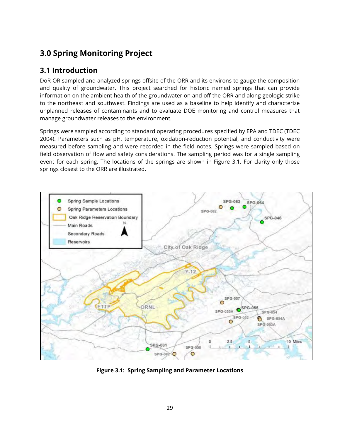## <span id="page-35-0"></span>**3.0 Spring Monitoring Project**

## <span id="page-35-1"></span>**3.1 Introduction**

DoR-OR sampled and analyzed springs offsite of the ORR and its environs to gauge the composition and quality of groundwater. This project searched for historic named springs that can provide information on the ambient health of the groundwater on and off the ORR and along geologic strike to the northeast and southwest. Findings are used as a baseline to help identify and characterize unplanned releases of contaminants and to evaluate DOE monitoring and control measures that manage groundwater releases to the environment.

Springs were sampled according to standard operating procedures specified by EPA and TDEC (TDEC 2004). Parameters such as pH, temperature, oxidation-reduction potential, and conductivity were measured before sampling and were recorded in the field notes. Springs were sampled based on field observation of flow and safety considerations. The sampling period was for a single sampling event for each spring. The locations of the springs are shown in Figure 3.1. For clarity only those springs closest to the ORR are illustrated.



**Figure 3.1: Spring Sampling and Parameter Locations**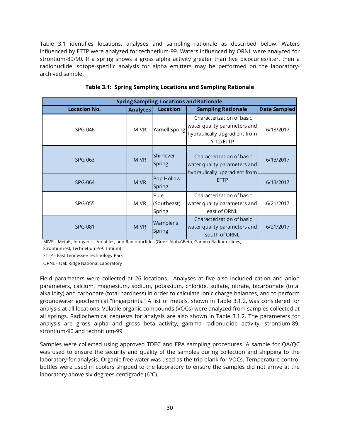Table 3.1 identifies locations, analyses and sampling rationale as described below. Waters influenced by ETTP were analyzed for technetium-99. Waters influenced by ORNL were analyzed for strontium-89/90. If a spring shows a gross alpha activity greater than five picocuries/liter, then a radionuclide isotope-specific analysis for alpha emitters may be performed on the laboratoryarchived sample.

|                     |                 |                                     | <b>Spring Sampling Locations and Rationale</b>                                                          |                     |
|---------------------|-----------------|-------------------------------------|---------------------------------------------------------------------------------------------------------|---------------------|
| <b>Location No.</b> | <b>Analytes</b> | <b>Location</b>                     | <b>Sampling Rationale</b>                                                                               | <b>Date Sampled</b> |
| <b>SPG-046</b>      | <b>MIVR</b>     | Yarnell Spring                      | Characterization of basic<br>water quality parameters and<br>hydraulically upgradient from<br>Y-12/ETTP | 6/13/2017           |
| SPG-063             | <b>MIVR</b>     | Shinlever<br><b>Spring</b>          | Characterization of basic<br>water quality parameters and<br>hydraulically upgradient from              | 6/13/2017           |
| <b>SPG-064</b>      | <b>MIVR</b>     | Pop Hollow<br><b>ETTP</b><br>Spring |                                                                                                         | 6/13/2017           |
| <b>SPG-055</b>      | <b>MIVR</b>     | Blue<br>(Southeast)<br>Spring       | Characterization of basic<br>water quality parameters and<br>east of ORNL                               | 6/21/2017           |
| <b>SPG-081</b>      | <b>MIVR</b>     | Wampler's<br>Spring                 | Characterization of basic<br>water quality parameters and<br>south of ORNL                              | 6/21/2017           |

#### **Table 3.1: Spring Sampling Locations and Sampling Rationale**

MIVR - Metals, Inorganics, Volatiles, and Radionuclides (Gross Alpha\Beta, Gamma Radionuclides,

Strontium-90, Technetium-99, Tritium)

ETTP - East Tennessee Technology Park

ORNL - Oak Ridge National Laboratory

Field parameters were collected at 26 locations. Analyses at five also included cation and anion parameters, calcium, magnesium, sodium, potassium, chloride, sulfate, nitrate, bicarbonate (total alkalinity) and carbonate (total hardness) in order to calculate ionic charge balances, and to perform groundwater geochemical "fingerprints." A list of metals, shown in Table 3.1.2, was considered for analysis at all locations. Volatile organic compounds (VOCs) were analyzed from samples collected at all springs. Radiochemical requests for analysis are also shown in Table 3.1.2. The parameters for analysis are gross alpha and gross beta activity, gamma radionuclide activity, strontium-89, strontium-90 and technitium-99.

Samples were collected using approved TDEC and EPA sampling procedures. A sample for QA/QC was used to ensure the security and quality of the samples during collection and shipping to the laboratory for analysis. Organic free water was used as the trip blank for VOCs. Temperature control bottles were used in coolers shipped to the laboratory to ensure the samples did not arrive at the laboratory above six degrees centigrade (6ºC).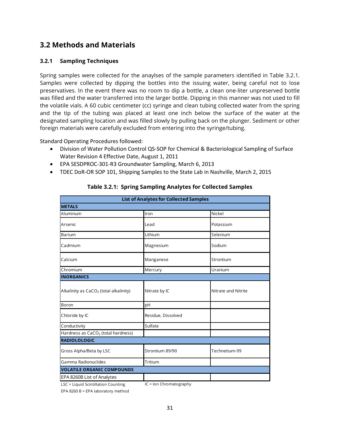## <span id="page-37-0"></span>**3.2 Methods and Materials**

#### <span id="page-37-1"></span>**3.2.1 Sampling Techniques**

Spring samples were collected for the anaylses of the sample parameters identified in Table 3.2.1. Samples were collected by dipping the bottles into the issuing water, being careful not to lose preservatives. In the event there was no room to dip a bottle, a clean one-liter unpreserved bottle was filled and the water transferred into the larger bottle. Dipping in this manner was not used to fill the volatile vials. A 60 cubic centimeter (cc) syringe and clean tubing collected water from the spring and the tip of the tubing was placed at least one inch below the surface of the water at the designated sampling location and was filled slowly by pulling back on the plunger. Sediment or other foreign materials were carefully excluded from entering into the syringe/tubing.

Standard Operating Procedures followed:

- Division of Water Pollution Control QS-SOP for Chemical & Bacteriological Sampling of Surface Water Revision 4 Effective Date, August 1, 2011
- EPA SESDPROC-301-R3 Groundwater Sampling, March 6, 2013
- TDEC DoR-OR SOP 101, Shipping Samples to the State Lab in Nashville, March 2, 2015

| <b>List of Analytes for Collected Samples</b>      |                    |                     |  |  |  |  |  |  |  |  |
|----------------------------------------------------|--------------------|---------------------|--|--|--|--|--|--|--|--|
| <b>METALS</b>                                      |                    |                     |  |  |  |  |  |  |  |  |
| Aluminum                                           | Iron               | Nickel              |  |  |  |  |  |  |  |  |
| Arsenic                                            | Lead               | Potassium           |  |  |  |  |  |  |  |  |
| <b>Barium</b>                                      | Lithium            | Selenium            |  |  |  |  |  |  |  |  |
| Cadmium                                            | Magnesium          | Sodium              |  |  |  |  |  |  |  |  |
| Calcium                                            | Manganese          | Strontium           |  |  |  |  |  |  |  |  |
| Chromium                                           | Mercury            | Uranium             |  |  |  |  |  |  |  |  |
| <b>INORGANICS</b>                                  |                    |                     |  |  |  |  |  |  |  |  |
| Alkalinity as CaCO <sub>3</sub> (total alkalinity) | Nitrate by IC      | Nitrate and Nitrite |  |  |  |  |  |  |  |  |
| Boron                                              | pH                 |                     |  |  |  |  |  |  |  |  |
| Chloride by IC                                     | Residue, Dissolved |                     |  |  |  |  |  |  |  |  |
| Conductivity                                       | Sulfate            |                     |  |  |  |  |  |  |  |  |
| Hardness as CaCO <sub>3</sub> (total hardness)     |                    |                     |  |  |  |  |  |  |  |  |
| <b>RADIOLOLOGIC</b>                                |                    |                     |  |  |  |  |  |  |  |  |
| Gross Alpha/Beta by LSC                            | Strontium 89/90    | Technetium-99       |  |  |  |  |  |  |  |  |
| Gamma Radionuclides                                | Tritium            |                     |  |  |  |  |  |  |  |  |
| <b>VOLATILE ORGANIC COMPOUNDS</b>                  |                    |                     |  |  |  |  |  |  |  |  |
| EPA 8260B List of Analytes                         |                    |                     |  |  |  |  |  |  |  |  |

#### **Table 3.2.1: Spring Sampling Analytes for Collected Samples**

LSC = Liquid Scintillation Counting IC = Ion Chromatography

EPA 8260 B = EPA laboratory method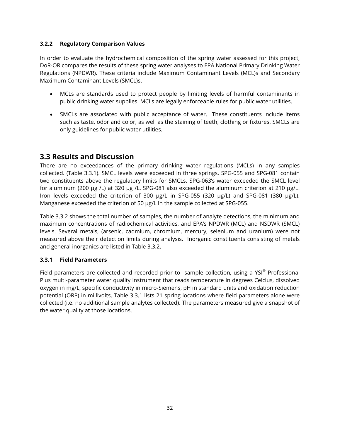#### <span id="page-38-0"></span>**3.2.2 Regulatory Comparison Values**

In order to evaluate the hydrochemical composition of the spring water assessed for this project, DoR-OR compares the results of these spring water analyses to EPA National Primary Drinking Water Regulations (NPDWR). These criteria include Maximum Contaminant Levels (MCL)s and Secondary Maximum Contaminant Levels (SMCL)s.

- MCLs are standards used to protect people by limiting levels of harmful contaminants in public drinking water supplies. MCLs are legally enforceable rules for public water utilities.
- SMCLs are associated with public acceptance of water. These constituents include items such as taste, odor and color, as well as the staining of teeth, clothing or fixtures. SMCLs are only guidelines for public water utilities.

## <span id="page-38-1"></span>**3.3 Results and Discussion**

There are no exceedances of the primary drinking water regulations (MCLs) in any samples collected. (Table 3.3.1). SMCL levels were exceeded in three springs. SPG-055 and SPG-081 contain two constituents above the regulatory limits for SMCLs. SPG-063's water exceeded the SMCL level for aluminum (200 µg /L) at 320 µg /L. SPG-081 also exceeded the aluminum criterion at 210 µg/L. Iron levels exceeded the criterion of 300 µg/L in SPG-055 (320 µg/L) and SPG-081 (380 µg/L). Manganese exceeded the criterion of 50 µg/L in the sample collected at SPG-055.

Table 3.3.2 shows the total number of samples, the number of analyte detections, the minimum and maximum concentrations of radiochemical activities, and EPA's NPDWR (MCL) and NSDWR (SMCL) levels. Several metals, (arsenic, cadmium, chromium, mercury, selenium and uranium) were not measured above their detection limits during analysis. Inorganic constituents consisting of metals and general inorganics are listed in Table 3.3.2.

#### <span id="page-38-2"></span>**3.3.1 Field Parameters**

Field parameters are collected and recorded prior to sample collection, using a YSI® Professional Plus multi-parameter water quality instrument that reads temperature in degrees Celcius, dissolved oxygen in mg/L, specific conductivity in micro-Siemens, pH in standard units and oxidation reduction potential (ORP) in millivolts. Table 3.3.1 lists 21 spring locations where field parameters alone were collected (i.e. no additional sample analytes collected). The parameters measured give a snapshot of the water quality at those locations.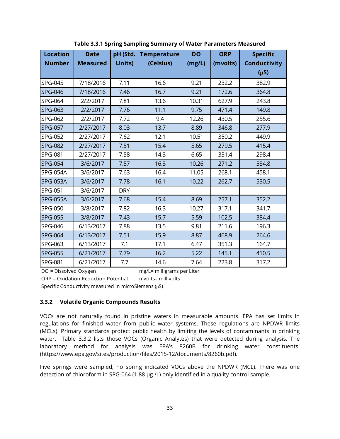| <b>Location</b> | <b>Date</b>     | pH (Std.   | <b>Temperature</b> | <b>DO</b> | <b>ORP</b> | <b>Specific</b>                  |
|-----------------|-----------------|------------|--------------------|-----------|------------|----------------------------------|
| <b>Number</b>   | <b>Measured</b> | Units)     | (Celsius)          | (mg/L)    | (mvolts)   | <b>Conductivity</b><br>$(\mu S)$ |
| SPG-045         | 7/18/2016       | 7.11       | 16.6               | 9.21      | 232.2      | 382.9                            |
| <b>SPG-046</b>  | 7/18/2016       | 7.46       | 16.7               | 9.21      | 172.6      | 364.8                            |
| SPG-064         | 2/2/2017        | 7.81       | 13.6               | 10.31     | 627.9      | 243.8                            |
| <b>SPG-063</b>  | 2/2/2017        | 7.76       | 11.1               | 9.75      | 471.4      | 149.8                            |
| SPG-062         | 2/2/2017        | 7.72       | 9.4                | 12.26     | 430.5      | 255.6                            |
| <b>SPG-057</b>  | 2/27/2017       | 8.03       | 13.7               | 8.89      | 346.8      | 277.9                            |
| SPG-052         | 2/27/2017       | 7.62       | 12.1               | 10.51     | 350.2      | 449.9                            |
| <b>SPG-082</b>  | 2/27/2017       | 7.51       | 15.4               | 5.65      | 279.5      | 415.4                            |
| SPG-081         | 2/27/2017       | 7.58       | 14.3               | 6.65      | 331.4      | 298.4                            |
| <b>SPG-054</b>  | 3/6/2017        | 7.57       | 16.3               | 10.26     | 271.2      | 534.8                            |
| <b>SPG-054A</b> | 3/6/2017        | 7.63       | 16.4               | 11.05     | 268.1      | 458.1                            |
| <b>SPG-053A</b> | 3/6/2017        | 7.78       | 16.1               | 10.22     | 262.7      | 530.5                            |
| SPG-051         | 3/6/2017        | <b>DRY</b> |                    |           |            |                                  |
| <b>SPG-055A</b> | 3/6/2017        | 7.68       | 15.4               | 8.69      | 257.1      | 352.2                            |
| SPG-050         | 3/8/2017        | 7.82       | 16.3               | 10.27     | 317.1      | 341.7                            |
| <b>SPG-055</b>  | 3/8/2017        | 7.43       | 15.7               | 5.59      | 102.5      | 384.4                            |
| SPG-046         | 6/13/2017       | 7.88       | 13.5               | 9.81      | 211.6      | 196.3                            |
| <b>SPG-064</b>  | 6/13/2017       | 7.51       | 15.9               | 8.87      | 468.9      | 264.6                            |
| SPG-063         | 6/13/2017       | 7.1        | 17.1               | 6.47      | 351.3      | 164.7                            |
| <b>SPG-055</b>  | 6/21/2017       | 7.79       | 16.2               | 5.22      | 145.1      | 410.5                            |
| SPG-081         | 6/21/2017       | 7.7        | 14.6               | 7.64      | 223.8      | 317.2                            |

**Table 3.3.1 Spring Sampling Summary of Water Parameters Measured**

DO = Dissolved Oxygen

mg/L= milligrams per Liter

ORP = Oxidation Reduction Potential mvolts= millivolts

Specific Conductivity measured in microSiemens (µS)

#### <span id="page-39-0"></span>**3.3.2 Volatile Organic Compounds Results**

VOCs are not naturally found in pristine waters in measurable amounts. EPA has set limits in regulations for finished water from public water systems. These regulations are NPDWR limits (MCLs). Primary standards protect public health by limiting the levels of contaminants in drinking water. Table 3.3.2 lists those VOCs (Organic Analytes) that were detected during analysis. The laboratory method for analysis was EPA's 8260B for drinking water constituents. (https://www.epa.gov/sites/production/files/2015-12/documents/8260b.pdf).

Five springs were sampled, no spring indicated VOCs above the NPDWR (MCL). There was one detection of chloroform in SPG-064 (1.88 µg /L) only identified in a quality control sample.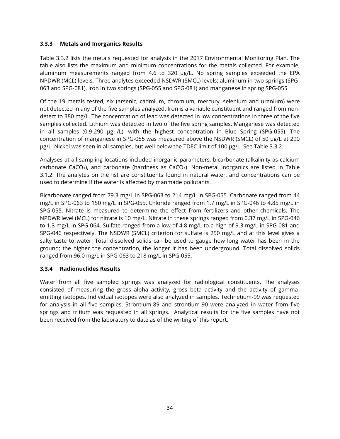#### <span id="page-40-0"></span>**3.3.3 Metals and Inorganics Results**

Table 3.3.2 lists the metals requested for analysis in the 2017 Environmental Monitoring Plan. The table also lists the maximum and minimum concentrations for the metals collected. For example, aluminum measurements ranged from 4.6 to 320 µg/L. No spring samples exceeded the EPA NPDWR (MCL) levels. Three analytes exceeded NSDWR (SMCL) levels; aluminum in two springs (SPG-063 and SPG-081), iron in two springs (SPG-055 and SPG-081) and manganese in spring SPG-055.

Of the 19 metals tested, six (arsenic, cadmium, chromium, mercury, selenium and uranium) were not detected in any of the five samples analyzed. Iron is a variable constituent and ranged from nondetect to 380 mg/L. The concentration of lead was detected in low concentrations in three of the five samples collected. Lithium was detected in two of the five spring samples. Manganese was detected in all samples (0.9-290  $\mu$ g /L), with the highest concentration in Blue Spring (SPG-055). The concentration of manganese in SPG-055 was measured above the NSDWR (SMCL) of 50 µg/L at 290 µg/L. Nickel was seen in all samples, but well below the TDEC limit of 100 µg/L. See Table 3.3.2.

Analyses at all sampling locations included inorganic parameters, bicarbonate (alkalinity as calcium carbonate CaCO<sub>3</sub>), and carbonate (hardness as CaCO<sub>3</sub>). Non-metal inorganics are listed in Table 3.1.2. The analytes on the list are constituents found in natural water, and concentrations can be used to determine if the water is affected by manmade pollutants.

Bicarbonate ranged from 79.3 mg/L in SPG-063 to 214 mg/L in SPG-055. Carbonate ranged from 44 mg/L in SPG-063 to 150 mg/L in SPG-055. Chloride ranged from 1.7 mg/L in SPG-046 to 4.85 mg/L in SPG-055. Nitrate is measured to determine the effect from fertilizers and other chemicals. The NPDWR level (MCL) for nitrate is 10 mg/L. Nitrate in these springs ranged from 0.37 mg/L in SPG-046 to 1.3 mg/L in SPG-064. Sulfate ranged from a low of 4.8 mg/L to a high of 9.3 mg/L in SPG-081 and SPG-046 respectively. The NSDWR (SMCL) criterion for sulfate is 250 mg/L and at this level gives a salty taste to water. Total dissolved solids can be used to gauge how long water has been in the ground; the higher the concentration, the longer it has been underground. Total dissolved solids ranged from 96.0 mg/L in SPG-063 to 218 mg/L in SPG-055.

#### <span id="page-40-1"></span>**3.3.4 Radionuclides Results**

Water from all five sampled springs was analyzed for radiological constituents. The analyses consisted of measuring the gross alpha activity, gross beta activity and the activity of gammaemitting isotopes. Individual isotopes were also analyzed in samples. Technetium-99 was requested for analysis in all five samples. Strontium-89 and strontium-90 were analyzed in water from five springs and tritium was requested in all springs. Analytical results for the five samples have not been received from the laboratory to date as of the writing of this report.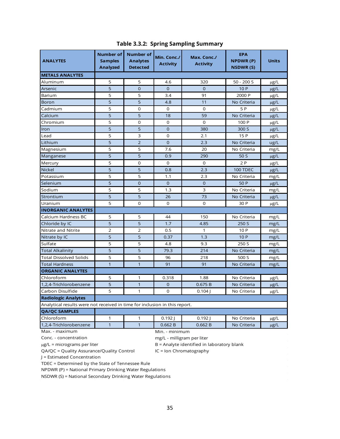| <b>ANALYTES</b>                                                            | <b>Number of</b><br><b>Samples</b><br>Analyzed | <b>Number of</b><br><b>Analytes</b><br><b>Detected</b> | Min. Conc./<br><b>Activity</b> | Max. Conc./<br><b>Activity</b> | <b>EPA</b><br>NPDWR (P)<br><b>NSDWR(S)</b> | <b>Units</b> |
|----------------------------------------------------------------------------|------------------------------------------------|--------------------------------------------------------|--------------------------------|--------------------------------|--------------------------------------------|--------------|
| <b>METALS ANALYTES</b>                                                     |                                                |                                                        |                                |                                |                                            |              |
| Aluminum                                                                   | 5                                              | 5                                                      | 4.6                            | 320                            | $50 - 200S$                                | μg/L         |
| Arsenic                                                                    | $\overline{5}$                                 | $\overline{0}$                                         | $\mathbf{0}$                   | $\overline{0}$                 | 10 P                                       | µg/L         |
| Barium                                                                     | 5                                              | 5                                                      | 3.4                            | 91                             | 2000 P                                     | µg/L         |
| Boron                                                                      | 5                                              | 5                                                      | 4.8                            | 11                             | No Criteria                                | $\mu$ g/L    |
| Cadmium                                                                    | 5                                              | 0                                                      | 0                              | 0                              | 5 P                                        | µg/L         |
| Calcium                                                                    | 5                                              | 5                                                      | 18                             | 59                             | No Criteria                                | µg/L         |
| Chromium                                                                   | 5                                              | 0                                                      | 0                              | $\mathbf 0$                    | 100 P                                      | μg/L         |
| Iron                                                                       | 5                                              | 5                                                      | $\mathbf{O}$                   | 380                            | 300S                                       | µg/L         |
| Lead                                                                       | 5                                              | 3                                                      | $\mathbf 0$                    | 2.1                            | 15 P                                       | µg/L         |
| Lithium                                                                    | 5                                              | $\overline{2}$                                         | $\mathbf{O}$                   | 2.3                            | No Criteria                                | ug/L         |
| Magnesium                                                                  | 5                                              | 5                                                      | 7.6                            | 20                             | No Criteria                                | mg/L         |
| Manganese                                                                  | 5                                              | 5                                                      | 0.9                            | 290                            | 50 <sub>S</sub>                            | µg/L         |
| Mercury                                                                    | 5                                              | 0                                                      | $\mathbf 0$                    | $\mathbf 0$                    | 2P                                         | $\mu$ g/L    |
| <b>Nickel</b>                                                              | 5                                              | 5                                                      | 0.8                            | 2.3                            | <b>100 TDEC</b>                            | $\mu$ g/L    |
| Potassium                                                                  | 5                                              | 5                                                      | 1.1                            | 2.3                            | No Criteria                                | mg/L         |
| Selenium                                                                   | 5                                              | $\mathbf 0$                                            | $\mathbf{O}$                   | $\mathbf 0$                    | 50 P                                       | $\mu$ g/L    |
| Sodium                                                                     | 5                                              | 5                                                      | 1.3                            | 3                              | No Criteria                                | mg/L         |
| Strontium                                                                  | 5                                              | 5                                                      | 26                             | 73                             | No Criteria                                | µg/L         |
| Uranium                                                                    | 5                                              | 0                                                      | 0                              | 0                              | 30 P                                       | µg/L         |
| <b>INORGANIC ANALYTES</b>                                                  |                                                |                                                        |                                |                                |                                            |              |
| Calcium Hardness BC                                                        | 5                                              | 5                                                      | 44                             | 150                            | No Criteria                                | mg/L         |
| Chloride by IC                                                             | 5                                              | 5                                                      | 1.7                            | 4.85                           | 250 S                                      | mg/L         |
| Nitrate and Nitrite                                                        | $\overline{2}$                                 | 2                                                      | 0.5                            | 1                              | 10 P                                       | mg/L         |
| Nitrate by IC                                                              | 5                                              | 5                                                      | 0.37                           | 1.3                            | 10P                                        | mg/L         |
| Sulfate                                                                    | 5                                              | 5                                                      | 4.8                            | 9.3                            | 250 S                                      | mg/L         |
| <b>Total Alkalinity</b>                                                    | 5                                              | 5                                                      | 79.3                           | 214                            | No Criteria                                | mg/L         |
| <b>Total Dissolved Solids</b>                                              | 5                                              | 5                                                      | 96                             | 218                            | 500 S                                      | mg/L         |
| <b>Total Hardness</b>                                                      | $\mathbf{1}$                                   | $\mathbf{1}$                                           | 91                             | 91                             | No Criteria                                | mg/L         |
| <b>ORGANIC ANALYTES</b>                                                    |                                                |                                                        |                                |                                |                                            |              |
| Chloroform                                                                 | 5                                              | 1                                                      | 0.318                          | 1.88                           | No Criteria                                | $\mu$ g/L    |
| 1,2,4-Trichlorobenzene                                                     | 5                                              | $\mathbf{1}$                                           | $\mathbf{0}$                   | 0.675B                         | No Criteria                                | $\mu$ g/L    |
| Carbon Disulfide                                                           | 5                                              | 1                                                      | $\mathbf 0$                    | 0.104                          | No Criteria                                | µg/L         |
| <b>Radiologic Analytes</b>                                                 |                                                |                                                        |                                |                                |                                            |              |
| Analytical results were not received in time for inclusion in this report. |                                                |                                                        |                                |                                |                                            |              |
| <b>QA/QC SAMPLES</b>                                                       |                                                |                                                        |                                |                                |                                            |              |
| Chloroform                                                                 | 1                                              | 1                                                      | $0.192$ $ $                    | 0.192                          | No Criteria                                | µg/L         |
| 1,2,4-Trichlorobenzene                                                     | $\mathbf{1}$                                   | $\mathbf{1}$                                           | 0.662 B                        | 0.662B                         | No Criteria                                | µg/L         |
| Max. - maximum                                                             |                                                |                                                        | Min. - minimum                 |                                |                                            |              |
| Conc. - concentration                                                      |                                                |                                                        | mg/L - milligram per liter     |                                |                                            |              |

#### **Table 3.3.2: Spring Sampling Summary**

µg/L = micrograms per liter

B = Analyte identified in laboratory blank

QA/QC = Quality Assurance/Quality Control IC = Ion Chromatography

J = Estimated Concentration

TDEC = Determined by the State of Tennessee Rule

NPDWR (P) = National Primary Drinking Water Regulations

NSDWR (S) = National Secondary Drinking Water Regulations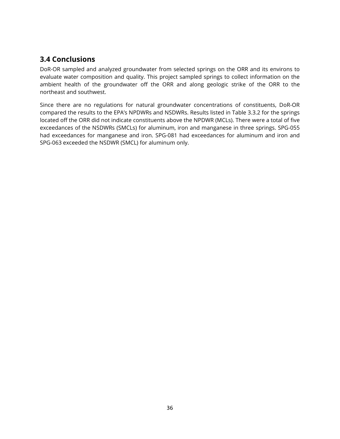## <span id="page-42-0"></span>**3.4 Conclusions**

DoR-OR sampled and analyzed groundwater from selected springs on the ORR and its environs to evaluate water composition and quality. This project sampled springs to collect information on the ambient health of the groundwater off the ORR and along geologic strike of the ORR to the northeast and southwest.

Since there are no regulations for natural groundwater concentrations of constituents, DoR-OR compared the results to the EPA's NPDWRs and NSDWRs. Results listed in Table 3.3.2 for the springs located off the ORR did not indicate constituents above the NPDWR (MCLs). There were a total of five exceedances of the NSDWRs (SMCLs) for aluminum, iron and manganese in three springs. SPG-055 had exceedances for manganese and iron. SPG-081 had exceedances for aluminum and iron and SPG-063 exceeded the NSDWR (SMCL) for aluminum only.